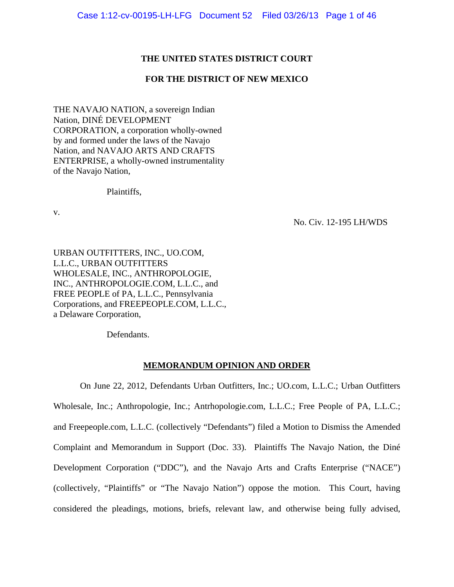## **THE UNITED STATES DISTRICT COURT**

## **FOR THE DISTRICT OF NEW MEXICO**

THE NAVAJO NATION, a sovereign Indian Nation, DINÉ DEVELOPMENT CORPORATION, a corporation wholly-owned by and formed under the laws of the Navajo Nation, and NAVAJO ARTS AND CRAFTS ENTERPRISE, a wholly-owned instrumentality of the Navajo Nation,

Plaintiffs,

v.

No. Civ. 12-195 LH/WDS

URBAN OUTFITTERS, INC., UO.COM, L.L.C., URBAN OUTFITTERS WHOLESALE, INC., ANTHROPOLOGIE, INC., ANTHROPOLOGIE.COM, L.L.C., and FREE PEOPLE of PA, L.L.C., Pennsylvania Corporations, and FREEPEOPLE.COM, L.L.C., a Delaware Corporation,

Defendants.

## **MEMORANDUM OPINION AND ORDER**

 On June 22, 2012, Defendants Urban Outfitters, Inc.; UO.com, L.L.C.; Urban Outfitters Wholesale, Inc.; Anthropologie, Inc.; Antrhopologie.com, L.L.C.; Free People of PA, L.L.C.; and Freepeople.com, L.L.C. (collectively "Defendants") filed a Motion to Dismiss the Amended Complaint and Memorandum in Support (Doc. 33). Plaintiffs The Navajo Nation, the Diné Development Corporation ("DDC"), and the Navajo Arts and Crafts Enterprise ("NACE") (collectively, "Plaintiffs" or "The Navajo Nation") oppose the motion. This Court, having considered the pleadings, motions, briefs, relevant law, and otherwise being fully advised,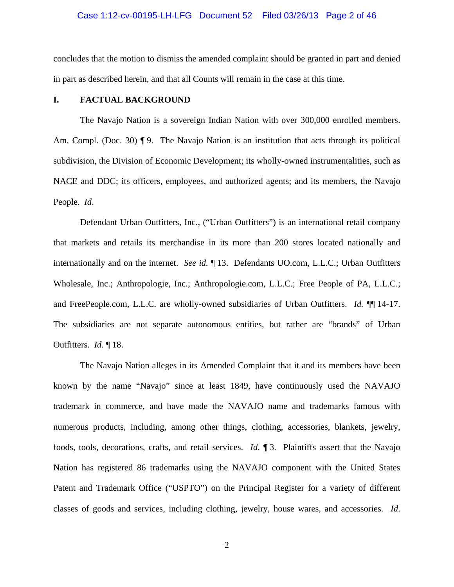#### Case 1:12-cv-00195-LH-LFG Document 52 Filed 03/26/13 Page 2 of 46

concludes that the motion to dismiss the amended complaint should be granted in part and denied in part as described herein, and that all Counts will remain in the case at this time.

### **I. FACTUAL BACKGROUND**

 The Navajo Nation is a sovereign Indian Nation with over 300,000 enrolled members. Am. Compl. (Doc. 30)  $\P$ 9. The Navajo Nation is an institution that acts through its political subdivision, the Division of Economic Development; its wholly-owned instrumentalities, such as NACE and DDC; its officers, employees, and authorized agents; and its members, the Navajo People. *Id*.

 Defendant Urban Outfitters, Inc., ("Urban Outfitters") is an international retail company that markets and retails its merchandise in its more than 200 stores located nationally and internationally and on the internet. *See id.* ¶ 13. Defendants UO.com, L.L.C.; Urban Outfitters Wholesale, Inc.; Anthropologie, Inc.; Anthropologie.com, L.L.C.; Free People of PA, L.L.C.; and FreePeople.com, L.L.C. are wholly-owned subsidiaries of Urban Outfitters. *Id.* ¶¶ 14-17. The subsidiaries are not separate autonomous entities, but rather are "brands" of Urban Outfitters. *Id.* ¶ 18.

 The Navajo Nation alleges in its Amended Complaint that it and its members have been known by the name "Navajo" since at least 1849, have continuously used the NAVAJO trademark in commerce, and have made the NAVAJO name and trademarks famous with numerous products, including, among other things, clothing, accessories, blankets, jewelry, foods, tools, decorations, crafts, and retail services. *Id*. ¶ 3. Plaintiffs assert that the Navajo Nation has registered 86 trademarks using the NAVAJO component with the United States Patent and Trademark Office ("USPTO") on the Principal Register for a variety of different classes of goods and services, including clothing, jewelry, house wares, and accessories. *Id*.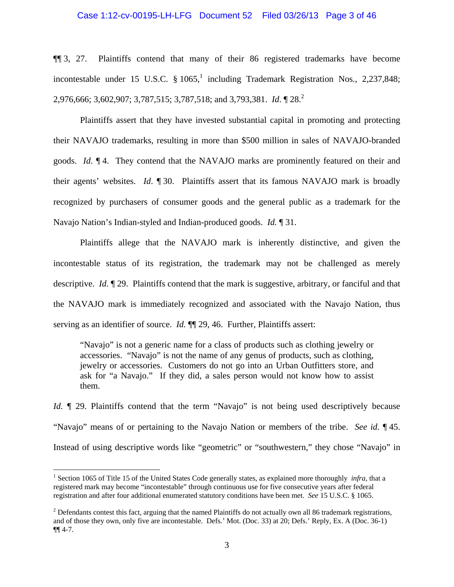#### Case 1:12-cv-00195-LH-LFG Document 52 Filed 03/26/13 Page 3 of 46

¶¶ 3, 27. Plaintiffs contend that many of their 86 registered trademarks have become incontestable under 15 U.S.C.  $\S 1065$ ,<sup>1</sup> including Trademark Registration Nos., 2,237,848; 2,976,666; 3,602,907; 3,787,515; 3,787,518; and 3,793,381. *Id.*  $\sqrt{28}$ .

 Plaintiffs assert that they have invested substantial capital in promoting and protecting their NAVAJO trademarks, resulting in more than \$500 million in sales of NAVAJO-branded goods. *Id*. ¶ 4. They contend that the NAVAJO marks are prominently featured on their and their agents' websites. *Id*. ¶ 30. Plaintiffs assert that its famous NAVAJO mark is broadly recognized by purchasers of consumer goods and the general public as a trademark for the Navajo Nation's Indian-styled and Indian-produced goods. *Id.* ¶ 31.

 Plaintiffs allege that the NAVAJO mark is inherently distinctive, and given the incontestable status of its registration, the trademark may not be challenged as merely descriptive. *Id.* ¶ 29. Plaintiffs contend that the mark is suggestive, arbitrary, or fanciful and that the NAVAJO mark is immediately recognized and associated with the Navajo Nation, thus serving as an identifier of source. *Id.*  $\P$  29, 46. Further, Plaintiffs assert:

"Navajo" is not a generic name for a class of products such as clothing jewelry or accessories. "Navajo" is not the name of any genus of products, such as clothing, jewelry or accessories. Customers do not go into an Urban Outfitters store, and ask for "a Navajo." If they did, a sales person would not know how to assist them.

*Id.*  $\parallel$  29. Plaintiffs contend that the term "Navajo" is not being used descriptively because "Navajo" means of or pertaining to the Navajo Nation or members of the tribe. *See id.* ¶ 45. Instead of using descriptive words like "geometric" or "southwestern," they chose "Navajo" in

<u>.</u>

<sup>&</sup>lt;sup>1</sup> Section 1065 of Title 15 of the United States Code generally states, as explained more thoroughly *infra*, that a registered mark may become "incontestable" through continuous use for five consecutive years after federal registration and after four additional enumerated statutory conditions have been met. *See* 15 U.S.C. § 1065.

 $2^{2}$  Defendants contest this fact, arguing that the named Plaintiffs do not actually own all 86 trademark registrations, and of those they own, only five are incontestable. Defs.' Mot. (Doc. 33) at 20; Defs.' Reply, Ex. A (Doc. 36-1) ¶¶ 4-7.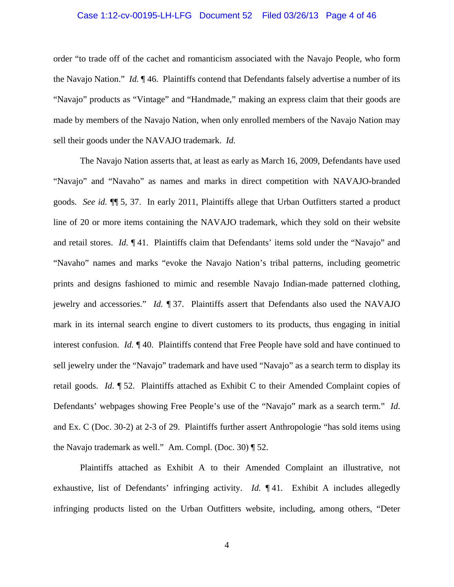#### Case 1:12-cv-00195-LH-LFG Document 52 Filed 03/26/13 Page 4 of 46

order "to trade off of the cachet and romanticism associated with the Navajo People, who form the Navajo Nation." *Id.* ¶ 46. Plaintiffs contend that Defendants falsely advertise a number of its "Navajo" products as "Vintage" and "Handmade," making an express claim that their goods are made by members of the Navajo Nation, when only enrolled members of the Navajo Nation may sell their goods under the NAVAJO trademark. *Id.*

 The Navajo Nation asserts that, at least as early as March 16, 2009, Defendants have used "Navajo" and "Navaho" as names and marks in direct competition with NAVAJO-branded goods. *See id.* ¶¶ 5, 37. In early 2011, Plaintiffs allege that Urban Outfitters started a product line of 20 or more items containing the NAVAJO trademark, which they sold on their website and retail stores. *Id.* ¶ 41. Plaintiffs claim that Defendants' items sold under the "Navajo" and "Navaho" names and marks "evoke the Navajo Nation's tribal patterns, including geometric prints and designs fashioned to mimic and resemble Navajo Indian-made patterned clothing, jewelry and accessories." *Id.* ¶ 37. Plaintiffs assert that Defendants also used the NAVAJO mark in its internal search engine to divert customers to its products, thus engaging in initial interest confusion. *Id.* ¶ 40. Plaintiffs contend that Free People have sold and have continued to sell jewelry under the "Navajo" trademark and have used "Navajo" as a search term to display its retail goods. *Id*. ¶ 52. Plaintiffs attached as Exhibit C to their Amended Complaint copies of Defendants' webpages showing Free People's use of the "Navajo" mark as a search term." *Id*. and Ex. C (Doc. 30-2) at 2-3 of 29. Plaintiffs further assert Anthropologie "has sold items using the Navajo trademark as well." Am. Compl. (Doc. 30) ¶ 52.

 Plaintiffs attached as Exhibit A to their Amended Complaint an illustrative, not exhaustive, list of Defendants' infringing activity. *Id.* ¶ 41. Exhibit A includes allegedly infringing products listed on the Urban Outfitters website, including, among others, "Deter

4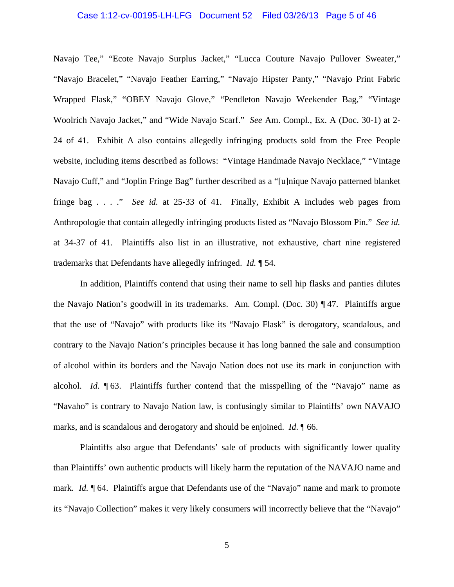#### Case 1:12-cv-00195-LH-LFG Document 52 Filed 03/26/13 Page 5 of 46

Navajo Tee," "Ecote Navajo Surplus Jacket," "Lucca Couture Navajo Pullover Sweater," "Navajo Bracelet," "Navajo Feather Earring," "Navajo Hipster Panty," "Navajo Print Fabric Wrapped Flask," "OBEY Navajo Glove," "Pendleton Navajo Weekender Bag," "Vintage Woolrich Navajo Jacket," and "Wide Navajo Scarf." *See* Am. Compl., Ex. A (Doc. 30-1) at 2- 24 of 41. Exhibit A also contains allegedly infringing products sold from the Free People website, including items described as follows: "Vintage Handmade Navajo Necklace," "Vintage Navajo Cuff," and "Joplin Fringe Bag" further described as a "[u]nique Navajo patterned blanket fringe bag . . . ." *See id.* at 25-33 of 41. Finally, Exhibit A includes web pages from Anthropologie that contain allegedly infringing products listed as "Navajo Blossom Pin." *See id.* at 34-37 of 41. Plaintiffs also list in an illustrative, not exhaustive, chart nine registered trademarks that Defendants have allegedly infringed. *Id.* ¶ 54.

 In addition, Plaintiffs contend that using their name to sell hip flasks and panties dilutes the Navajo Nation's goodwill in its trademarks. Am. Compl. (Doc. 30) ¶ 47. Plaintiffs argue that the use of "Navajo" with products like its "Navajo Flask" is derogatory, scandalous, and contrary to the Navajo Nation's principles because it has long banned the sale and consumption of alcohol within its borders and the Navajo Nation does not use its mark in conjunction with alcohol. *Id*. ¶ 63. Plaintiffs further contend that the misspelling of the "Navajo" name as "Navaho" is contrary to Navajo Nation law, is confusingly similar to Plaintiffs' own NAVAJO marks, and is scandalous and derogatory and should be enjoined. *Id*. ¶ 66.

 Plaintiffs also argue that Defendants' sale of products with significantly lower quality than Plaintiffs' own authentic products will likely harm the reputation of the NAVAJO name and mark. *Id.* 164. Plaintiffs argue that Defendants use of the "Navajo" name and mark to promote its "Navajo Collection" makes it very likely consumers will incorrectly believe that the "Navajo"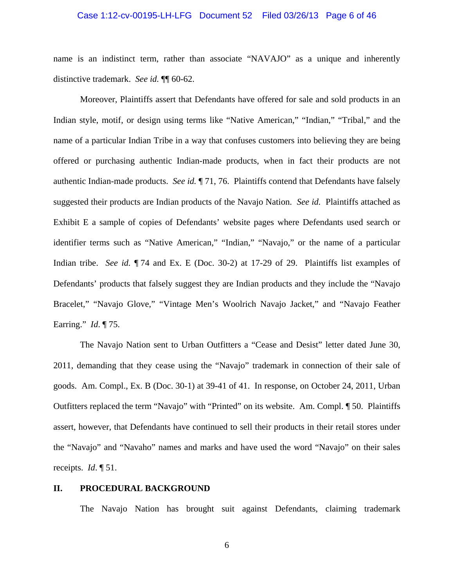#### Case 1:12-cv-00195-LH-LFG Document 52 Filed 03/26/13 Page 6 of 46

name is an indistinct term, rather than associate "NAVAJO" as a unique and inherently distinctive trademark. *See id.* ¶¶ 60-62.

 Moreover, Plaintiffs assert that Defendants have offered for sale and sold products in an Indian style, motif, or design using terms like "Native American," "Indian," "Tribal," and the name of a particular Indian Tribe in a way that confuses customers into believing they are being offered or purchasing authentic Indian-made products, when in fact their products are not authentic Indian-made products. *See id.* ¶ 71, 76. Plaintiffs contend that Defendants have falsely suggested their products are Indian products of the Navajo Nation. *See id.* Plaintiffs attached as Exhibit E a sample of copies of Defendants' website pages where Defendants used search or identifier terms such as "Native American," "Indian," "Navajo," or the name of a particular Indian tribe. *See id.* ¶ 74 and Ex. E (Doc. 30-2) at 17-29 of 29. Plaintiffs list examples of Defendants' products that falsely suggest they are Indian products and they include the "Navajo Bracelet," "Navajo Glove," "Vintage Men's Woolrich Navajo Jacket," and "Navajo Feather Earring." *Id*. ¶ 75.

 The Navajo Nation sent to Urban Outfitters a "Cease and Desist" letter dated June 30, 2011, demanding that they cease using the "Navajo" trademark in connection of their sale of goods. Am. Compl., Ex. B (Doc. 30-1) at 39-41 of 41. In response, on October 24, 2011, Urban Outfitters replaced the term "Navajo" with "Printed" on its website. Am. Compl. ¶ 50. Plaintiffs assert, however, that Defendants have continued to sell their products in their retail stores under the "Navajo" and "Navaho" names and marks and have used the word "Navajo" on their sales receipts. *Id*. ¶ 51.

### **II. PROCEDURAL BACKGROUND**

The Navajo Nation has brought suit against Defendants, claiming trademark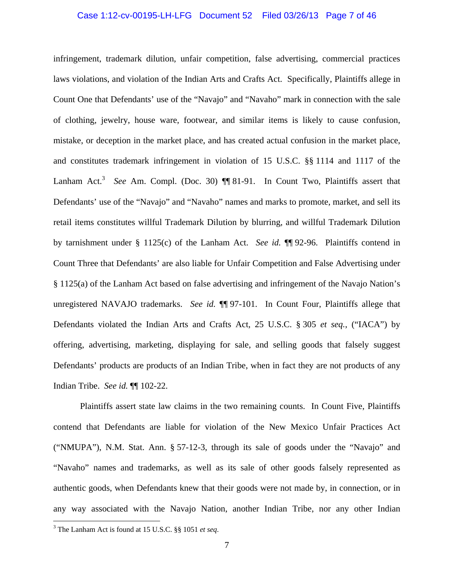#### Case 1:12-cv-00195-LH-LFG Document 52 Filed 03/26/13 Page 7 of 46

infringement, trademark dilution, unfair competition, false advertising, commercial practices laws violations, and violation of the Indian Arts and Crafts Act. Specifically, Plaintiffs allege in Count One that Defendants' use of the "Navajo" and "Navaho" mark in connection with the sale of clothing, jewelry, house ware, footwear, and similar items is likely to cause confusion, mistake, or deception in the market place, and has created actual confusion in the market place, and constitutes trademark infringement in violation of 15 U.S.C. §§ 1114 and 1117 of the Lanham Act.<sup>3</sup> See Am. Compl. (Doc. 30)  $\P\P$  81-91. In Count Two, Plaintiffs assert that Defendants' use of the "Navajo" and "Navaho" names and marks to promote, market, and sell its retail items constitutes willful Trademark Dilution by blurring, and willful Trademark Dilution by tarnishment under § 1125(c) of the Lanham Act. *See id.* ¶¶ 92-96. Plaintiffs contend in Count Three that Defendants' are also liable for Unfair Competition and False Advertising under § 1125(a) of the Lanham Act based on false advertising and infringement of the Navajo Nation's unregistered NAVAJO trademarks. *See id.* **[1]** 97-101. In Count Four, Plaintiffs allege that Defendants violated the Indian Arts and Crafts Act, 25 U.S.C. § 305 *et seq.*, ("IACA") by offering, advertising, marketing, displaying for sale, and selling goods that falsely suggest Defendants' products are products of an Indian Tribe, when in fact they are not products of any Indian Tribe. *See id.* ¶¶ 102-22.

 Plaintiffs assert state law claims in the two remaining counts. In Count Five, Plaintiffs contend that Defendants are liable for violation of the New Mexico Unfair Practices Act ("NMUPA"), N.M. Stat. Ann. § 57-12-3, through its sale of goods under the "Navajo" and "Navaho" names and trademarks, as well as its sale of other goods falsely represented as authentic goods, when Defendants knew that their goods were not made by, in connection, or in any way associated with the Navajo Nation, another Indian Tribe, nor any other Indian

 $\overline{a}$ 

<sup>3</sup> The Lanham Act is found at 15 U.S.C. §§ 1051 *et seq*.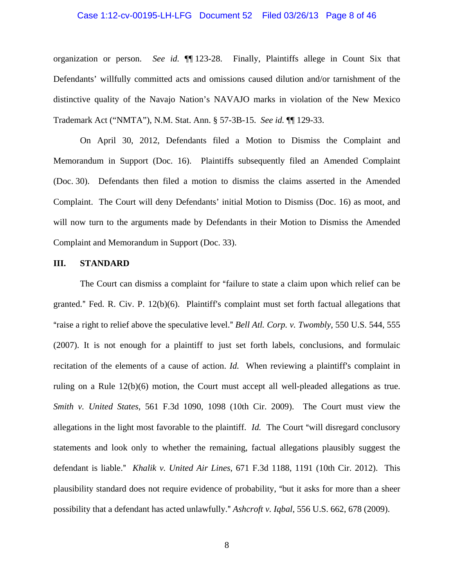#### Case 1:12-cv-00195-LH-LFG Document 52 Filed 03/26/13 Page 8 of 46

organization or person. *See id.* ¶¶ 123-28. Finally, Plaintiffs allege in Count Six that Defendants' willfully committed acts and omissions caused dilution and/or tarnishment of the distinctive quality of the Navajo Nation's NAVAJO marks in violation of the New Mexico Trademark Act ("NMTA"), N.M. Stat. Ann. § 57-3B-15. *See id.* ¶¶ 129-33.

On April 30, 2012, Defendants filed a Motion to Dismiss the Complaint and Memorandum in Support (Doc. 16). Plaintiffs subsequently filed an Amended Complaint (Doc. 30). Defendants then filed a motion to dismiss the claims asserted in the Amended Complaint. The Court will deny Defendants' initial Motion to Dismiss (Doc. 16) as moot, and will now turn to the arguments made by Defendants in their Motion to Dismiss the Amended Complaint and Memorandum in Support (Doc. 33).

#### **III. STANDARD**

The Court can dismiss a complaint for "failure to state a claim upon which relief can be granted." Fed. R. Civ. P.  $12(b)(6)$ . Plaintiff's complaint must set forth factual allegations that "raise a right to relief above the speculative level." *Bell Atl. Corp. v. Twombly*, 550 U.S. 544, 555 (2007). It is not enough for a plaintiff to just set forth labels, conclusions, and formulaic recitation of the elements of a cause of action. *Id.* When reviewing a plaintiff's complaint in ruling on a Rule 12(b)(6) motion, the Court must accept all well-pleaded allegations as true. *Smith v. United States*, 561 F.3d 1090, 1098 (10th Cir. 2009). The Court must view the allegations in the light most favorable to the plaintiff. *Id.* The Court "will disregard conclusory statements and look only to whether the remaining, factual allegations plausibly suggest the defendant is liable." *Khalik v. United Air Lines*, 671 F.3d 1188, 1191 (10th Cir. 2012). This plausibility standard does not require evidence of probability, "but it asks for more than a sheer possibility that a defendant has acted unlawfully." *Ashcroft v. Iqbal*, 556 U.S. 662, 678 (2009).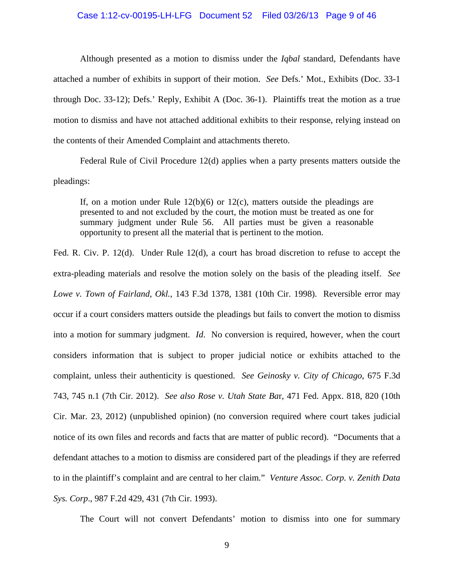#### Case 1:12-cv-00195-LH-LFG Document 52 Filed 03/26/13 Page 9 of 46

 Although presented as a motion to dismiss under the *Iqbal* standard, Defendants have attached a number of exhibits in support of their motion. *See* Defs.' Mot., Exhibits (Doc. 33-1 through Doc. 33-12); Defs.' Reply, Exhibit A (Doc. 36-1). Plaintiffs treat the motion as a true motion to dismiss and have not attached additional exhibits to their response, relying instead on the contents of their Amended Complaint and attachments thereto.

 Federal Rule of Civil Procedure 12(d) applies when a party presents matters outside the pleadings:

If, on a motion under Rule  $12(b)(6)$  or  $12(c)$ , matters outside the pleadings are presented to and not excluded by the court, the motion must be treated as one for summary judgment under Rule 56. All parties must be given a reasonable opportunity to present all the material that is pertinent to the motion.

Fed. R. Civ. P. 12(d). Under Rule 12(d), a court has broad discretion to refuse to accept the extra-pleading materials and resolve the motion solely on the basis of the pleading itself. *See Lowe v. Town of Fairland, Okl.*, 143 F.3d 1378, 1381 (10th Cir. 1998). Reversible error may occur if a court considers matters outside the pleadings but fails to convert the motion to dismiss into a motion for summary judgment. *Id*. No conversion is required, however, when the court considers information that is subject to proper judicial notice or exhibits attached to the complaint, unless their authenticity is questioned. *See Geinosky v. City of Chicago*, 675 F.3d 743, 745 n.1 (7th Cir. 2012). *See also Rose v. Utah State Ba*r, 471 Fed. Appx. 818, 820 (10th Cir. Mar. 23, 2012) (unpublished opinion) (no conversion required where court takes judicial notice of its own files and records and facts that are matter of public record). "Documents that a defendant attaches to a motion to dismiss are considered part of the pleadings if they are referred to in the plaintiff's complaint and are central to her claim." *Venture Assoc. Corp. v. Zenith Data Sys. Corp*., 987 F.2d 429, 431 (7th Cir. 1993).

The Court will not convert Defendants' motion to dismiss into one for summary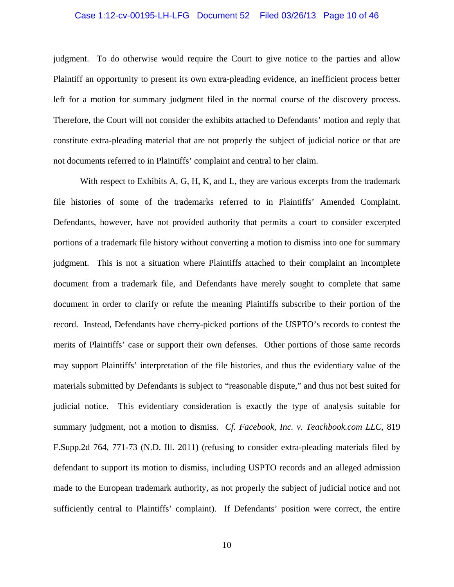#### Case 1:12-cv-00195-LH-LFG Document 52 Filed 03/26/13 Page 10 of 46

judgment. To do otherwise would require the Court to give notice to the parties and allow Plaintiff an opportunity to present its own extra-pleading evidence, an inefficient process better left for a motion for summary judgment filed in the normal course of the discovery process. Therefore, the Court will not consider the exhibits attached to Defendants' motion and reply that constitute extra-pleading material that are not properly the subject of judicial notice or that are not documents referred to in Plaintiffs' complaint and central to her claim.

With respect to Exhibits A, G, H, K, and L, they are various excerpts from the trademark file histories of some of the trademarks referred to in Plaintiffs' Amended Complaint. Defendants, however, have not provided authority that permits a court to consider excerpted portions of a trademark file history without converting a motion to dismiss into one for summary judgment. This is not a situation where Plaintiffs attached to their complaint an incomplete document from a trademark file, and Defendants have merely sought to complete that same document in order to clarify or refute the meaning Plaintiffs subscribe to their portion of the record. Instead, Defendants have cherry-picked portions of the USPTO's records to contest the merits of Plaintiffs' case or support their own defenses. Other portions of those same records may support Plaintiffs' interpretation of the file histories, and thus the evidentiary value of the materials submitted by Defendants is subject to "reasonable dispute," and thus not best suited for judicial notice. This evidentiary consideration is exactly the type of analysis suitable for summary judgment, not a motion to dismiss. *Cf. Facebook, Inc. v. Teachbook.com LLC*, 819 F.Supp.2d 764, 771-73 (N.D. Ill. 2011) (refusing to consider extra-pleading materials filed by defendant to support its motion to dismiss, including USPTO records and an alleged admission made to the European trademark authority, as not properly the subject of judicial notice and not sufficiently central to Plaintiffs' complaint). If Defendants' position were correct, the entire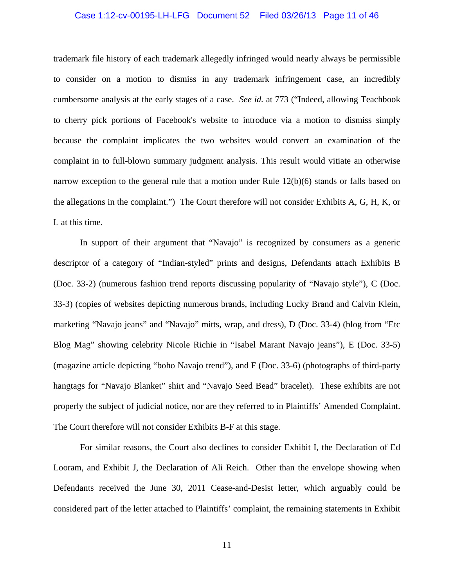#### Case 1:12-cv-00195-LH-LFG Document 52 Filed 03/26/13 Page 11 of 46

trademark file history of each trademark allegedly infringed would nearly always be permissible to consider on a motion to dismiss in any trademark infringement case, an incredibly cumbersome analysis at the early stages of a case. *See id.* at 773 ("Indeed, allowing Teachbook to cherry pick portions of Facebook's website to introduce via a motion to dismiss simply because the complaint implicates the two websites would convert an examination of the complaint in to full-blown summary judgment analysis. This result would vitiate an otherwise narrow exception to the general rule that a motion under Rule 12(b)(6) stands or falls based on the allegations in the complaint.") The Court therefore will not consider Exhibits A, G, H, K, or L at this time.

 In support of their argument that "Navajo" is recognized by consumers as a generic descriptor of a category of "Indian-styled" prints and designs, Defendants attach Exhibits B (Doc. 33-2) (numerous fashion trend reports discussing popularity of "Navajo style"), C (Doc. 33-3) (copies of websites depicting numerous brands, including Lucky Brand and Calvin Klein, marketing "Navajo jeans" and "Navajo" mitts, wrap, and dress), D (Doc. 33-4) (blog from "Etc Blog Mag" showing celebrity Nicole Richie in "Isabel Marant Navajo jeans"), E (Doc. 33-5) (magazine article depicting "boho Navajo trend"), and F (Doc. 33-6) (photographs of third-party hangtags for "Navajo Blanket" shirt and "Navajo Seed Bead" bracelet). These exhibits are not properly the subject of judicial notice, nor are they referred to in Plaintiffs' Amended Complaint. The Court therefore will not consider Exhibits B-F at this stage.

For similar reasons, the Court also declines to consider Exhibit I, the Declaration of Ed Looram, and Exhibit J, the Declaration of Ali Reich. Other than the envelope showing when Defendants received the June 30, 2011 Cease-and-Desist letter, which arguably could be considered part of the letter attached to Plaintiffs' complaint, the remaining statements in Exhibit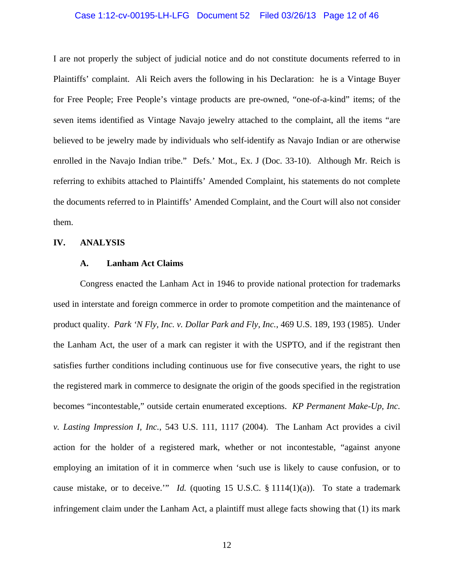#### Case 1:12-cv-00195-LH-LFG Document 52 Filed 03/26/13 Page 12 of 46

I are not properly the subject of judicial notice and do not constitute documents referred to in Plaintiffs' complaint. Ali Reich avers the following in his Declaration: he is a Vintage Buyer for Free People; Free People's vintage products are pre-owned, "one-of-a-kind" items; of the seven items identified as Vintage Navajo jewelry attached to the complaint, all the items "are believed to be jewelry made by individuals who self-identify as Navajo Indian or are otherwise enrolled in the Navajo Indian tribe." Defs.' Mot., Ex. J (Doc. 33-10). Although Mr. Reich is referring to exhibits attached to Plaintiffs' Amended Complaint, his statements do not complete the documents referred to in Plaintiffs' Amended Complaint, and the Court will also not consider them.

#### **IV. ANALYSIS**

## **A. Lanham Act Claims**

Congress enacted the Lanham Act in 1946 to provide national protection for trademarks used in interstate and foreign commerce in order to promote competition and the maintenance of product quality. *Park 'N Fly, Inc. v. Dollar Park and Fly, Inc.*, 469 U.S. 189, 193 (1985). Under the Lanham Act, the user of a mark can register it with the USPTO, and if the registrant then satisfies further conditions including continuous use for five consecutive years, the right to use the registered mark in commerce to designate the origin of the goods specified in the registration becomes "incontestable," outside certain enumerated exceptions. *KP Permanent Make-Up, Inc. v. Lasting Impression I, Inc.*, 543 U.S. 111, 1117 (2004). The Lanham Act provides a civil action for the holder of a registered mark, whether or not incontestable, "against anyone employing an imitation of it in commerce when 'such use is likely to cause confusion, or to cause mistake, or to deceive." *Id.* (quoting 15 U.S.C.  $\S 1114(1)(a)$ ). To state a trademark infringement claim under the Lanham Act, a plaintiff must allege facts showing that (1) its mark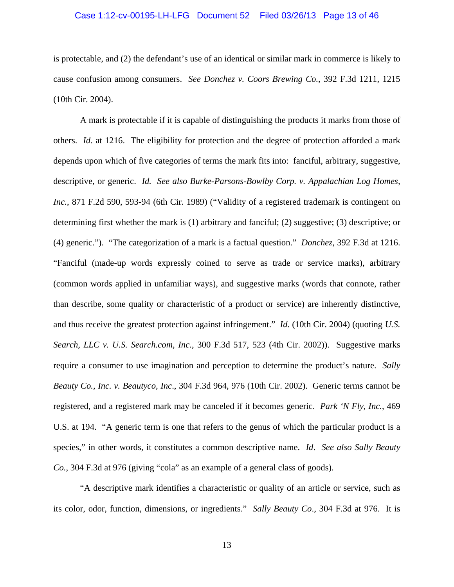#### Case 1:12-cv-00195-LH-LFG Document 52 Filed 03/26/13 Page 13 of 46

is protectable, and (2) the defendant's use of an identical or similar mark in commerce is likely to cause confusion among consumers. *See Donchez v. Coors Brewing Co.*, 392 F.3d 1211, 1215 (10th Cir. 2004).

 A mark is protectable if it is capable of distinguishing the products it marks from those of others. *Id*. at 1216. The eligibility for protection and the degree of protection afforded a mark depends upon which of five categories of terms the mark fits into: fanciful, arbitrary, suggestive, descriptive, or generic. *Id. See also Burke-Parsons-Bowlby Corp. v. Appalachian Log Homes, Inc.*, 871 F.2d 590, 593-94 (6th Cir. 1989) ("Validity of a registered trademark is contingent on determining first whether the mark is (1) arbitrary and fanciful; (2) suggestive; (3) descriptive; or (4) generic."). "The categorization of a mark is a factual question." *Donchez*, 392 F.3d at 1216. "Fanciful (made-up words expressly coined to serve as trade or service marks), arbitrary (common words applied in unfamiliar ways), and suggestive marks (words that connote, rather than describe, some quality or characteristic of a product or service) are inherently distinctive, and thus receive the greatest protection against infringement." *Id*. (10th Cir. 2004) (quoting *U.S. Search, LLC v. U.S. Search.com, Inc.*, 300 F.3d 517, 523 (4th Cir. 2002)). Suggestive marks require a consumer to use imagination and perception to determine the product's nature. *Sally Beauty Co., Inc. v. Beautyco, Inc*., 304 F.3d 964, 976 (10th Cir. 2002). Generic terms cannot be registered, and a registered mark may be canceled if it becomes generic. *Park 'N Fly, Inc.*, 469 U.S. at 194. "A generic term is one that refers to the genus of which the particular product is a species," in other words, it constitutes a common descriptive name. *Id*. *See also Sally Beauty Co.*, 304 F.3d at 976 (giving "cola" as an example of a general class of goods).

"A descriptive mark identifies a characteristic or quality of an article or service, such as its color, odor, function, dimensions, or ingredients." *Sally Beauty Co*., 304 F.3d at 976. It is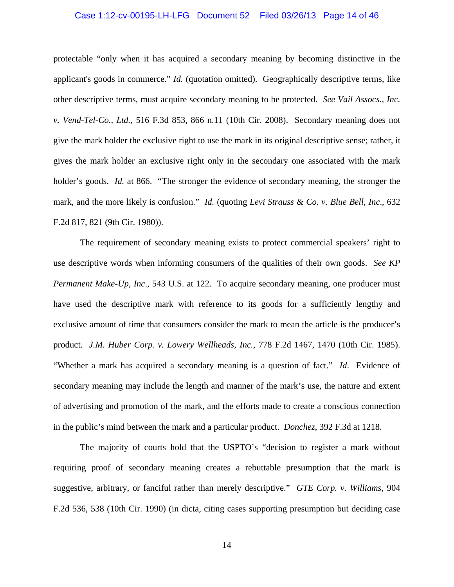#### Case 1:12-cv-00195-LH-LFG Document 52 Filed 03/26/13 Page 14 of 46

protectable "only when it has acquired a secondary meaning by becoming distinctive in the applicant's goods in commerce." *Id.* (quotation omitted). Geographically descriptive terms, like other descriptive terms, must acquire secondary meaning to be protected. *See Vail Assocs., Inc. v. Vend-Tel-Co., Ltd.*, 516 F.3d 853, 866 n.11 (10th Cir. 2008). Secondary meaning does not give the mark holder the exclusive right to use the mark in its original descriptive sense; rather, it gives the mark holder an exclusive right only in the secondary one associated with the mark holder's goods. *Id.* at 866. "The stronger the evidence of secondary meaning, the stronger the mark, and the more likely is confusion." *Id.* (quoting *Levi Strauss & Co. v. Blue Bell, Inc*., 632 F.2d 817, 821 (9th Cir. 1980)).

 The requirement of secondary meaning exists to protect commercial speakers' right to use descriptive words when informing consumers of the qualities of their own goods. *See KP Permanent Make-Up, Inc.*, 543 U.S. at 122. To acquire secondary meaning, one producer must have used the descriptive mark with reference to its goods for a sufficiently lengthy and exclusive amount of time that consumers consider the mark to mean the article is the producer's product. *J.M. Huber Corp. v. Lowery Wellheads, Inc.*, 778 F.2d 1467, 1470 (10th Cir. 1985). "Whether a mark has acquired a secondary meaning is a question of fact." *Id*. Evidence of secondary meaning may include the length and manner of the mark's use, the nature and extent of advertising and promotion of the mark, and the efforts made to create a conscious connection in the public's mind between the mark and a particular product. *Donchez*, 392 F.3d at 1218.

 The majority of courts hold that the USPTO's "decision to register a mark without requiring proof of secondary meaning creates a rebuttable presumption that the mark is suggestive, arbitrary, or fanciful rather than merely descriptive." *GTE Corp. v. Williams*, 904 F.2d 536, 538 (10th Cir. 1990) (in dicta, citing cases supporting presumption but deciding case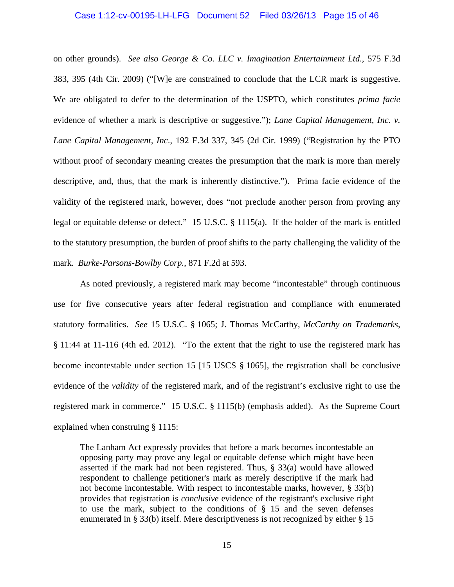# Case 1:12-cv-00195-LH-LFG Document 52 Filed 03/26/13 Page 15 of 46

on other grounds). *See also George & Co. LLC v. Imagination Entertainment Ltd*., 575 F.3d 383, 395 (4th Cir. 2009) ("[W]e are constrained to conclude that the LCR mark is suggestive. We are obligated to defer to the determination of the USPTO, which constitutes *prima facie* evidence of whether a mark is descriptive or suggestive."); *Lane Capital Management, Inc. v. Lane Capital Management, Inc*., 192 F.3d 337, 345 (2d Cir. 1999) ("Registration by the PTO without proof of secondary meaning creates the presumption that the mark is more than merely descriptive, and, thus, that the mark is inherently distinctive."). Prima facie evidence of the validity of the registered mark, however, does "not preclude another person from proving any legal or equitable defense or defect." 15 U.S.C. § 1115(a). If the holder of the mark is entitled to the statutory presumption, the burden of proof shifts to the party challenging the validity of the mark. *Burke-Parsons-Bowlby Corp.*, 871 F.2d at 593.

 As noted previously, a registered mark may become "incontestable" through continuous use for five consecutive years after federal registration and compliance with enumerated statutory formalities. *See* 15 U.S.C. § 1065; J. Thomas McCarthy, *McCarthy on Trademarks*, § 11:44 at 11-116 (4th ed. 2012). "To the extent that the right to use the registered mark has become incontestable under section 15 [15 USCS § 1065], the registration shall be conclusive evidence of the *validity* of the registered mark, and of the registrant's exclusive right to use the registered mark in commerce." 15 U.S.C. § 1115(b) (emphasis added). As the Supreme Court explained when construing § 1115:

The Lanham Act expressly provides that before a mark becomes incontestable an opposing party may prove any legal or equitable defense which might have been asserted if the mark had not been registered. Thus, § 33(a) would have allowed respondent to challenge petitioner's mark as merely descriptive if the mark had not become incontestable. With respect to incontestable marks, however, § 33(b) provides that registration is *conclusive* evidence of the registrant's exclusive right to use the mark, subject to the conditions of  $\S$  15 and the seven defenses enumerated in § 33(b) itself. Mere descriptiveness is not recognized by either § 15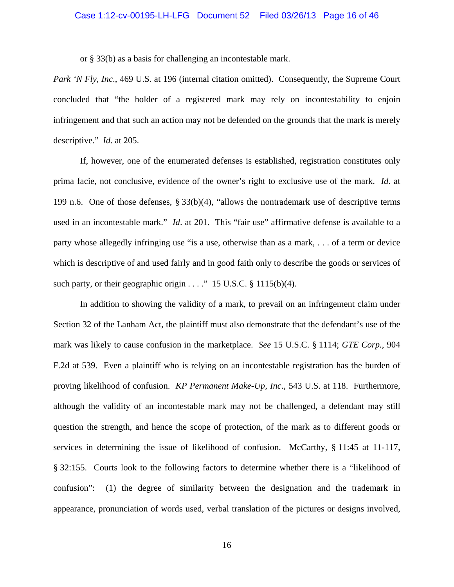or § 33(b) as a basis for challenging an incontestable mark.

*Park 'N Fly, Inc.*, 469 U.S. at 196 (internal citation omitted). Consequently, the Supreme Court concluded that "the holder of a registered mark may rely on incontestability to enjoin infringement and that such an action may not be defended on the grounds that the mark is merely descriptive." *Id*. at 205.

 If, however, one of the enumerated defenses is established, registration constitutes only prima facie, not conclusive, evidence of the owner's right to exclusive use of the mark. *Id*. at 199 n.6. One of those defenses, § 33(b)(4), "allows the nontrademark use of descriptive terms used in an incontestable mark." *Id.* at 201. This "fair use" affirmative defense is available to a party whose allegedly infringing use "is a use, otherwise than as a mark, . . . of a term or device which is descriptive of and used fairly and in good faith only to describe the goods or services of such party, or their geographic origin  $\dots$ ." 15 U.S.C. § 1115(b)(4).

 In addition to showing the validity of a mark, to prevail on an infringement claim under Section 32 of the Lanham Act, the plaintiff must also demonstrate that the defendant's use of the mark was likely to cause confusion in the marketplace. *See* 15 U.S.C. § 1114; *GTE Corp.*, 904 F.2d at 539. Even a plaintiff who is relying on an incontestable registration has the burden of proving likelihood of confusion. *KP Permanent Make-Up, Inc*., 543 U.S. at 118. Furthermore, although the validity of an incontestable mark may not be challenged, a defendant may still question the strength, and hence the scope of protection, of the mark as to different goods or services in determining the issue of likelihood of confusion. McCarthy, § 11:45 at 11-117, § 32:155. Courts look to the following factors to determine whether there is a "likelihood of confusion": (1) the degree of similarity between the designation and the trademark in appearance, pronunciation of words used, verbal translation of the pictures or designs involved,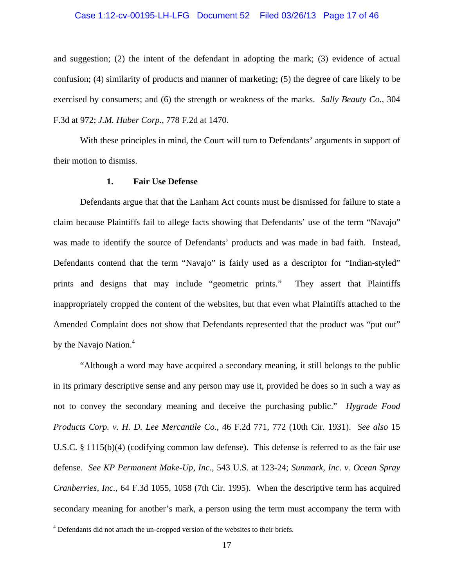#### Case 1:12-cv-00195-LH-LFG Document 52 Filed 03/26/13 Page 17 of 46

and suggestion; (2) the intent of the defendant in adopting the mark; (3) evidence of actual confusion; (4) similarity of products and manner of marketing; (5) the degree of care likely to be exercised by consumers; and (6) the strength or weakness of the marks. *Sally Beauty Co.*, 304 F.3d at 972; *J.M. Huber Corp.*, 778 F.2d at 1470.

With these principles in mind, the Court will turn to Defendants' arguments in support of their motion to dismiss.

#### **1. Fair Use Defense**

 Defendants argue that that the Lanham Act counts must be dismissed for failure to state a claim because Plaintiffs fail to allege facts showing that Defendants' use of the term "Navajo" was made to identify the source of Defendants' products and was made in bad faith. Instead, Defendants contend that the term "Navajo" is fairly used as a descriptor for "Indian-styled" prints and designs that may include "geometric prints." They assert that Plaintiffs inappropriately cropped the content of the websites, but that even what Plaintiffs attached to the Amended Complaint does not show that Defendants represented that the product was "put out" by the Navajo Nation.<sup>4</sup>

 "Although a word may have acquired a secondary meaning, it still belongs to the public in its primary descriptive sense and any person may use it, provided he does so in such a way as not to convey the secondary meaning and deceive the purchasing public." *Hygrade Food Products Corp. v. H. D. Lee Mercantile Co*., 46 F.2d 771, 772 (10th Cir. 1931). *See also* 15 U.S.C. § 1115(b)(4) (codifying common law defense). This defense is referred to as the fair use defense. *See KP Permanent Make-Up, Inc*., 543 U.S. at 123-24; *Sunmark, Inc. v. Ocean Spray Cranberries, Inc.*, 64 F.3d 1055, 1058 (7th Cir. 1995). When the descriptive term has acquired secondary meaning for another's mark, a person using the term must accompany the term with

 $\overline{a}$ 

<sup>&</sup>lt;sup>4</sup> Defendants did not attach the un-cropped version of the websites to their briefs.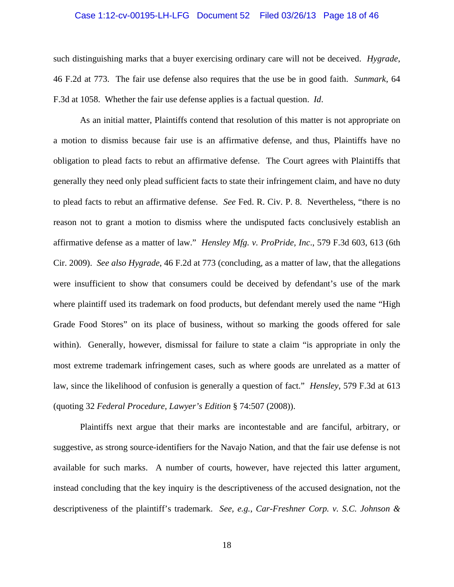#### Case 1:12-cv-00195-LH-LFG Document 52 Filed 03/26/13 Page 18 of 46

such distinguishing marks that a buyer exercising ordinary care will not be deceived. *Hygrade*, 46 F.2d at 773. The fair use defense also requires that the use be in good faith. *Sunmark*, 64 F.3d at 1058. Whether the fair use defense applies is a factual question. *Id*.

 As an initial matter, Plaintiffs contend that resolution of this matter is not appropriate on a motion to dismiss because fair use is an affirmative defense, and thus, Plaintiffs have no obligation to plead facts to rebut an affirmative defense. The Court agrees with Plaintiffs that generally they need only plead sufficient facts to state their infringement claim, and have no duty to plead facts to rebut an affirmative defense. *See* Fed. R. Civ. P. 8. Nevertheless, "there is no reason not to grant a motion to dismiss where the undisputed facts conclusively establish an affirmative defense as a matter of law." *Hensley Mfg. v. ProPride, Inc*., 579 F.3d 603, 613 (6th Cir. 2009). *See also Hygrade*, 46 F.2d at 773 (concluding, as a matter of law, that the allegations were insufficient to show that consumers could be deceived by defendant's use of the mark where plaintiff used its trademark on food products, but defendant merely used the name "High Grade Food Stores" on its place of business, without so marking the goods offered for sale within). Generally, however, dismissal for failure to state a claim "is appropriate in only the most extreme trademark infringement cases, such as where goods are unrelated as a matter of law, since the likelihood of confusion is generally a question of fact." *Hensley*, 579 F.3d at 613 (quoting 32 *Federal Procedure, Lawyer's Edition* § 74:507 (2008)).

 Plaintiffs next argue that their marks are incontestable and are fanciful, arbitrary, or suggestive, as strong source-identifiers for the Navajo Nation, and that the fair use defense is not available for such marks. A number of courts, however, have rejected this latter argument, instead concluding that the key inquiry is the descriptiveness of the accused designation, not the descriptiveness of the plaintiff's trademark. *See, e.g.*, *Car-Freshner Corp. v. S.C. Johnson &*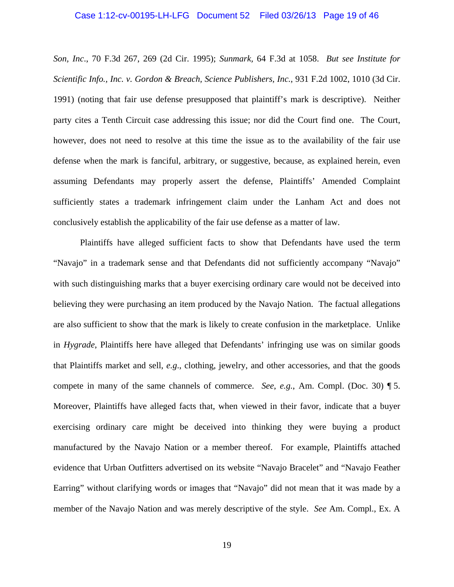#### Case 1:12-cv-00195-LH-LFG Document 52 Filed 03/26/13 Page 19 of 46

*Son, Inc*., 70 F.3d 267, 269 (2d Cir. 1995); *Sunmark,* 64 F.3d at 1058. *But see Institute for Scientific Info., Inc. v. Gordon & Breach, Science Publishers, Inc.*, 931 F.2d 1002, 1010 (3d Cir. 1991) (noting that fair use defense presupposed that plaintiff's mark is descriptive). Neither party cites a Tenth Circuit case addressing this issue; nor did the Court find one. The Court, however, does not need to resolve at this time the issue as to the availability of the fair use defense when the mark is fanciful, arbitrary, or suggestive, because, as explained herein, even assuming Defendants may properly assert the defense, Plaintiffs' Amended Complaint sufficiently states a trademark infringement claim under the Lanham Act and does not conclusively establish the applicability of the fair use defense as a matter of law.

 Plaintiffs have alleged sufficient facts to show that Defendants have used the term "Navajo" in a trademark sense and that Defendants did not sufficiently accompany "Navajo" with such distinguishing marks that a buyer exercising ordinary care would not be deceived into believing they were purchasing an item produced by the Navajo Nation. The factual allegations are also sufficient to show that the mark is likely to create confusion in the marketplace. Unlike in *Hygrade*, Plaintiffs here have alleged that Defendants' infringing use was on similar goods that Plaintiffs market and sell, *e.g*., clothing, jewelry, and other accessories, and that the goods compete in many of the same channels of commerce. *See*, *e.g.*, Am. Compl. (Doc. 30) ¶ 5. Moreover, Plaintiffs have alleged facts that, when viewed in their favor, indicate that a buyer exercising ordinary care might be deceived into thinking they were buying a product manufactured by the Navajo Nation or a member thereof. For example, Plaintiffs attached evidence that Urban Outfitters advertised on its website "Navajo Bracelet" and "Navajo Feather Earring" without clarifying words or images that "Navajo" did not mean that it was made by a member of the Navajo Nation and was merely descriptive of the style. *See* Am. Compl., Ex. A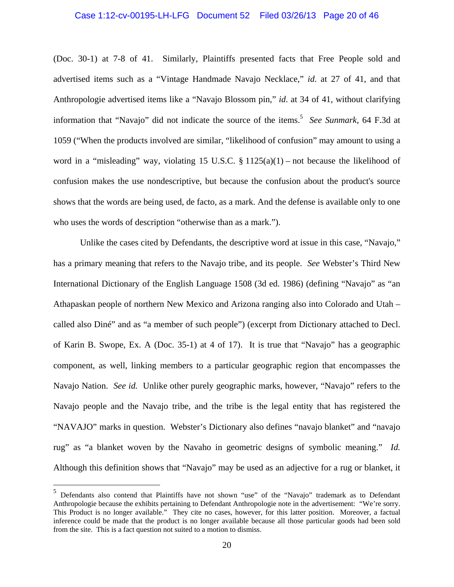# Case 1:12-cv-00195-LH-LFG Document 52 Filed 03/26/13 Page 20 of 46

(Doc. 30-1) at 7-8 of 41. Similarly, Plaintiffs presented facts that Free People sold and advertised items such as a "Vintage Handmade Navajo Necklace," *id*. at 27 of 41, and that Anthropologie advertised items like a "Navajo Blossom pin," *id*. at 34 of 41, without clarifying information that "Navajo" did not indicate the source of the items.5 *See Sunmark*, 64 F.3d at 1059 ("When the products involved are similar, "likelihood of confusion" may amount to using a word in a "misleading" way, violating 15 U.S.C.  $\S$  1125(a)(1) – not because the likelihood of confusion makes the use nondescriptive, but because the confusion about the product's source shows that the words are being used, de facto, as a mark. And the defense is available only to one who uses the words of description "otherwise than as a mark.").

 Unlike the cases cited by Defendants, the descriptive word at issue in this case, "Navajo," has a primary meaning that refers to the Navajo tribe, and its people. *See* Webster's Third New International Dictionary of the English Language 1508 (3d ed. 1986) (defining "Navajo" as "an Athapaskan people of northern New Mexico and Arizona ranging also into Colorado and Utah – called also Diné" and as "a member of such people") (excerpt from Dictionary attached to Decl. of Karin B. Swope, Ex. A (Doc. 35-1) at 4 of 17). It is true that "Navajo" has a geographic component, as well, linking members to a particular geographic region that encompasses the Navajo Nation. *See id.* Unlike other purely geographic marks, however, "Navajo" refers to the Navajo people and the Navajo tribe, and the tribe is the legal entity that has registered the "NAVAJO" marks in question. Webster's Dictionary also defines "navajo blanket" and "navajo rug" as "a blanket woven by the Navaho in geometric designs of symbolic meaning." *Id.* Although this definition shows that "Navajo" may be used as an adjective for a rug or blanket, it

 $\overline{a}$ 

<sup>5</sup> Defendants also contend that Plaintiffs have not shown "use" of the "Navajo" trademark as to Defendant Anthropologie because the exhibits pertaining to Defendant Anthropologie note in the advertisement: "We're sorry. This Product is no longer available." They cite no cases, however, for this latter position. Moreover, a factual inference could be made that the product is no longer available because all those particular goods had been sold from the site. This is a fact question not suited to a motion to dismiss.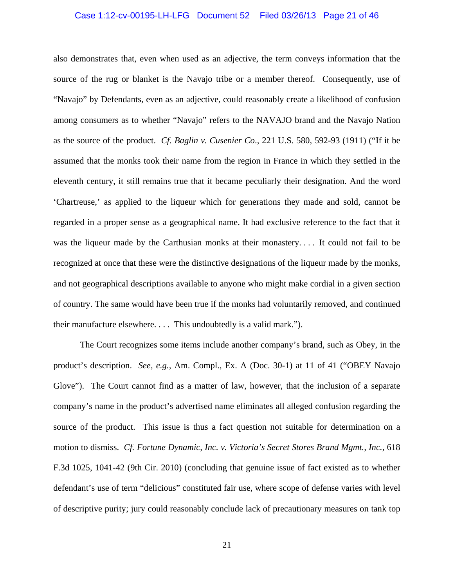#### Case 1:12-cv-00195-LH-LFG Document 52 Filed 03/26/13 Page 21 of 46

also demonstrates that, even when used as an adjective, the term conveys information that the source of the rug or blanket is the Navajo tribe or a member thereof. Consequently, use of "Navajo" by Defendants, even as an adjective, could reasonably create a likelihood of confusion among consumers as to whether "Navajo" refers to the NAVAJO brand and the Navajo Nation as the source of the product. *Cf. Baglin v. Cusenier Co*., 221 U.S. 580, 592-93 (1911) ("If it be assumed that the monks took their name from the region in France in which they settled in the eleventh century, it still remains true that it became peculiarly their designation. And the word 'Chartreuse,' as applied to the liqueur which for generations they made and sold, cannot be regarded in a proper sense as a geographical name. It had exclusive reference to the fact that it was the liqueur made by the Carthusian monks at their monastery.... It could not fail to be recognized at once that these were the distinctive designations of the liqueur made by the monks, and not geographical descriptions available to anyone who might make cordial in a given section of country. The same would have been true if the monks had voluntarily removed, and continued their manufacture elsewhere. . . . This undoubtedly is a valid mark.").

 The Court recognizes some items include another company's brand, such as Obey, in the product's description. *See, e.g.,* Am. Compl., Ex. A (Doc. 30-1) at 11 of 41 ("OBEY Navajo Glove"). The Court cannot find as a matter of law, however, that the inclusion of a separate company's name in the product's advertised name eliminates all alleged confusion regarding the source of the product. This issue is thus a fact question not suitable for determination on a motion to dismiss. *Cf. Fortune Dynamic, Inc. v. Victoria's Secret Stores Brand Mgmt., Inc.*, 618 F.3d 1025, 1041-42 (9th Cir. 2010) (concluding that genuine issue of fact existed as to whether defendant's use of term "delicious" constituted fair use, where scope of defense varies with level of descriptive purity; jury could reasonably conclude lack of precautionary measures on tank top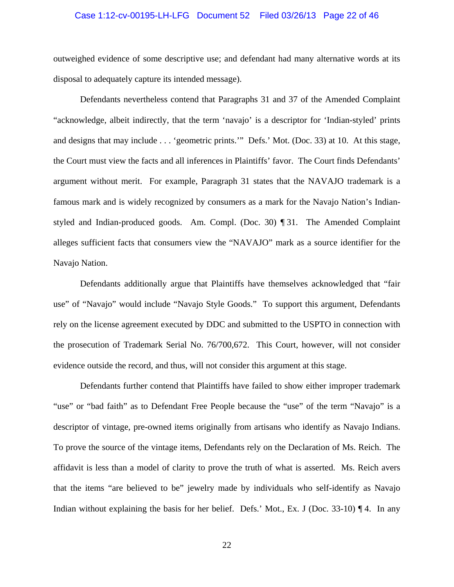#### Case 1:12-cv-00195-LH-LFG Document 52 Filed 03/26/13 Page 22 of 46

outweighed evidence of some descriptive use; and defendant had many alternative words at its disposal to adequately capture its intended message).

 Defendants nevertheless contend that Paragraphs 31 and 37 of the Amended Complaint "acknowledge, albeit indirectly, that the term 'navajo' is a descriptor for 'Indian-styled' prints and designs that may include . . . 'geometric prints.'" Defs.' Mot. (Doc. 33) at 10. At this stage, the Court must view the facts and all inferences in Plaintiffs' favor. The Court finds Defendants' argument without merit. For example, Paragraph 31 states that the NAVAJO trademark is a famous mark and is widely recognized by consumers as a mark for the Navajo Nation's Indianstyled and Indian-produced goods. Am. Compl. (Doc. 30) ¶ 31. The Amended Complaint alleges sufficient facts that consumers view the "NAVAJO" mark as a source identifier for the Navajo Nation.

 Defendants additionally argue that Plaintiffs have themselves acknowledged that "fair use" of "Navajo" would include "Navajo Style Goods." To support this argument, Defendants rely on the license agreement executed by DDC and submitted to the USPTO in connection with the prosecution of Trademark Serial No. 76/700,672. This Court, however, will not consider evidence outside the record, and thus, will not consider this argument at this stage.

 Defendants further contend that Plaintiffs have failed to show either improper trademark "use" or "bad faith" as to Defendant Free People because the "use" of the term "Navajo" is a descriptor of vintage, pre-owned items originally from artisans who identify as Navajo Indians. To prove the source of the vintage items, Defendants rely on the Declaration of Ms. Reich. The affidavit is less than a model of clarity to prove the truth of what is asserted. Ms. Reich avers that the items "are believed to be" jewelry made by individuals who self-identify as Navajo Indian without explaining the basis for her belief. Defs.' Mot., Ex. J (Doc. 33-10) ¶ 4. In any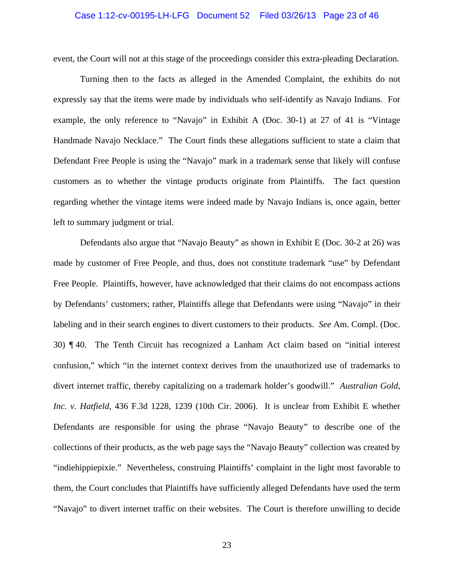### Case 1:12-cv-00195-LH-LFG Document 52 Filed 03/26/13 Page 23 of 46

event, the Court will not at this stage of the proceedings consider this extra-pleading Declaration.

 Turning then to the facts as alleged in the Amended Complaint, the exhibits do not expressly say that the items were made by individuals who self-identify as Navajo Indians. For example, the only reference to "Navajo" in Exhibit A (Doc. 30-1) at 27 of 41 is "Vintage Handmade Navajo Necklace." The Court finds these allegations sufficient to state a claim that Defendant Free People is using the "Navajo" mark in a trademark sense that likely will confuse customers as to whether the vintage products originate from Plaintiffs. The fact question regarding whether the vintage items were indeed made by Navajo Indians is, once again, better left to summary judgment or trial.

 Defendants also argue that "Navajo Beauty" as shown in Exhibit E (Doc. 30-2 at 26) was made by customer of Free People, and thus, does not constitute trademark "use" by Defendant Free People. Plaintiffs, however, have acknowledged that their claims do not encompass actions by Defendants' customers; rather, Plaintiffs allege that Defendants were using "Navajo" in their labeling and in their search engines to divert customers to their products. *See* Am. Compl. (Doc. 30) ¶ 40. The Tenth Circuit has recognized a Lanham Act claim based on "initial interest confusion," which "in the internet context derives from the unauthorized use of trademarks to divert internet traffic, thereby capitalizing on a trademark holder's goodwill." *Australian Gold, Inc. v. Hatfield*, 436 F.3d 1228, 1239 (10th Cir. 2006). It is unclear from Exhibit E whether Defendants are responsible for using the phrase "Navajo Beauty" to describe one of the collections of their products, as the web page says the "Navajo Beauty" collection was created by "indiehippiepixie." Nevertheless, construing Plaintiffs' complaint in the light most favorable to them, the Court concludes that Plaintiffs have sufficiently alleged Defendants have used the term "Navajo" to divert internet traffic on their websites. The Court is therefore unwilling to decide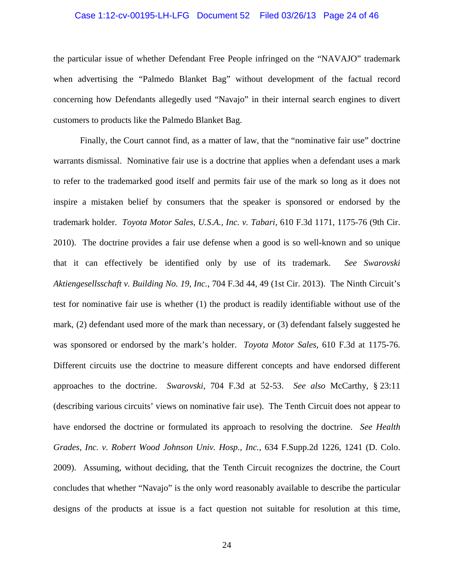#### Case 1:12-cv-00195-LH-LFG Document 52 Filed 03/26/13 Page 24 of 46

the particular issue of whether Defendant Free People infringed on the "NAVAJO" trademark when advertising the "Palmedo Blanket Bag" without development of the factual record concerning how Defendants allegedly used "Navajo" in their internal search engines to divert customers to products like the Palmedo Blanket Bag.

 Finally, the Court cannot find, as a matter of law, that the "nominative fair use" doctrine warrants dismissal. Nominative fair use is a doctrine that applies when a defendant uses a mark to refer to the trademarked good itself and permits fair use of the mark so long as it does not inspire a mistaken belief by consumers that the speaker is sponsored or endorsed by the trademark holder. *Toyota Motor Sales, U.S.A., Inc. v. Tabari*, 610 F.3d 1171, 1175-76 (9th Cir. 2010). The doctrine provides a fair use defense when a good is so well-known and so unique that it can effectively be identified only by use of its trademark. *See Swarovski Aktiengesellsschaft v. Building No. 19, Inc.*, 704 F.3d 44, 49 (1st Cir. 2013). The Ninth Circuit's test for nominative fair use is whether (1) the product is readily identifiable without use of the mark, (2) defendant used more of the mark than necessary, or (3) defendant falsely suggested he was sponsored or endorsed by the mark's holder. *Toyota Motor Sales*, 610 F.3d at 1175-76. Different circuits use the doctrine to measure different concepts and have endorsed different approaches to the doctrine. *Swarovski*, 704 F.3d at 52-53. *See also* McCarthy, § 23:11 (describing various circuits' views on nominative fair use). The Tenth Circuit does not appear to have endorsed the doctrine or formulated its approach to resolving the doctrine. *See Health Grades, Inc. v. Robert Wood Johnson Univ. Hosp., Inc.*, 634 F.Supp.2d 1226, 1241 (D. Colo. 2009). Assuming, without deciding, that the Tenth Circuit recognizes the doctrine, the Court concludes that whether "Navajo" is the only word reasonably available to describe the particular designs of the products at issue is a fact question not suitable for resolution at this time,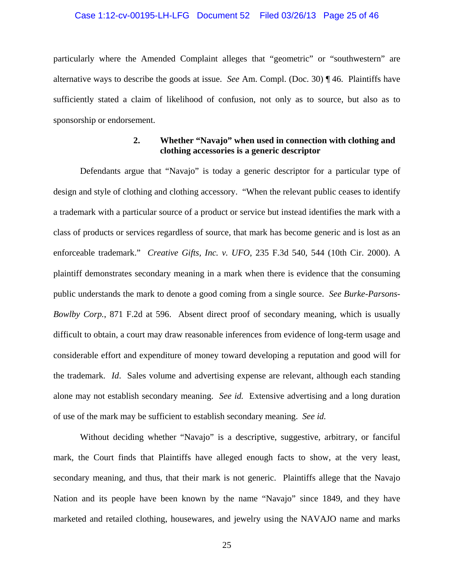#### Case 1:12-cv-00195-LH-LFG Document 52 Filed 03/26/13 Page 25 of 46

particularly where the Amended Complaint alleges that "geometric" or "southwestern" are alternative ways to describe the goods at issue. *See* Am. Compl. (Doc. 30) ¶ 46. Plaintiffs have sufficiently stated a claim of likelihood of confusion, not only as to source, but also as to sponsorship or endorsement.

# **2. Whether "Navajo" when used in connection with clothing and clothing accessories is a generic descriptor**

 Defendants argue that "Navajo" is today a generic descriptor for a particular type of design and style of clothing and clothing accessory. "When the relevant public ceases to identify a trademark with a particular source of a product or service but instead identifies the mark with a class of products or services regardless of source, that mark has become generic and is lost as an enforceable trademark." *Creative Gifts, Inc. v. UFO*, 235 F.3d 540, 544 (10th Cir. 2000). A plaintiff demonstrates secondary meaning in a mark when there is evidence that the consuming public understands the mark to denote a good coming from a single source. *See Burke-Parsons-Bowlby Corp.*, 871 F.2d at 596. Absent direct proof of secondary meaning, which is usually difficult to obtain, a court may draw reasonable inferences from evidence of long-term usage and considerable effort and expenditure of money toward developing a reputation and good will for the trademark. *Id*. Sales volume and advertising expense are relevant, although each standing alone may not establish secondary meaning. *See id.* Extensive advertising and a long duration of use of the mark may be sufficient to establish secondary meaning. *See id.* 

 Without deciding whether "Navajo" is a descriptive, suggestive, arbitrary, or fanciful mark, the Court finds that Plaintiffs have alleged enough facts to show, at the very least, secondary meaning, and thus, that their mark is not generic. Plaintiffs allege that the Navajo Nation and its people have been known by the name "Navajo" since 1849, and they have marketed and retailed clothing, housewares, and jewelry using the NAVAJO name and marks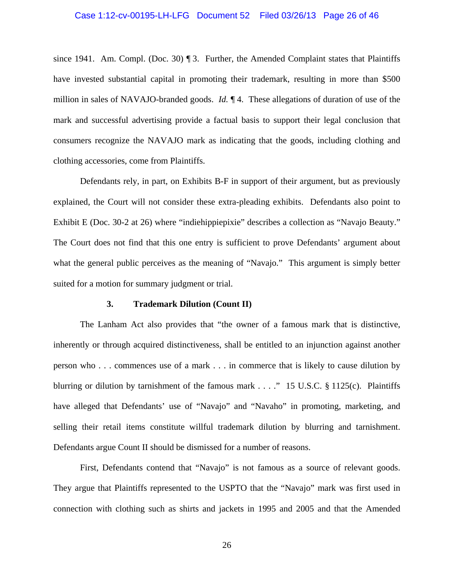#### Case 1:12-cv-00195-LH-LFG Document 52 Filed 03/26/13 Page 26 of 46

since 1941. Am. Compl. (Doc. 30)  $\P$  3. Further, the Amended Complaint states that Plaintiffs have invested substantial capital in promoting their trademark, resulting in more than \$500 million in sales of NAVAJO-branded goods. *Id.* ¶ 4. These allegations of duration of use of the mark and successful advertising provide a factual basis to support their legal conclusion that consumers recognize the NAVAJO mark as indicating that the goods, including clothing and clothing accessories, come from Plaintiffs.

 Defendants rely, in part, on Exhibits B-F in support of their argument, but as previously explained, the Court will not consider these extra-pleading exhibits. Defendants also point to Exhibit E (Doc. 30-2 at 26) where "indiehippiepixie" describes a collection as "Navajo Beauty." The Court does not find that this one entry is sufficient to prove Defendants' argument about what the general public perceives as the meaning of "Navajo." This argument is simply better suited for a motion for summary judgment or trial.

#### **3. Trademark Dilution (Count II)**

 The Lanham Act also provides that "the owner of a famous mark that is distinctive, inherently or through acquired distinctiveness, shall be entitled to an injunction against another person who . . . commences use of a mark . . . in commerce that is likely to cause dilution by blurring or dilution by tarnishment of the famous mark . . . ." 15 U.S.C. § 1125(c). Plaintiffs have alleged that Defendants' use of "Navajo" and "Navaho" in promoting, marketing, and selling their retail items constitute willful trademark dilution by blurring and tarnishment. Defendants argue Count II should be dismissed for a number of reasons.

 First, Defendants contend that "Navajo" is not famous as a source of relevant goods. They argue that Plaintiffs represented to the USPTO that the "Navajo" mark was first used in connection with clothing such as shirts and jackets in 1995 and 2005 and that the Amended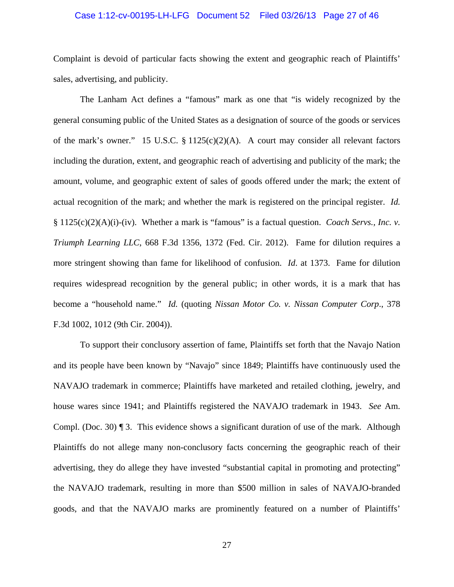#### Case 1:12-cv-00195-LH-LFG Document 52 Filed 03/26/13 Page 27 of 46

Complaint is devoid of particular facts showing the extent and geographic reach of Plaintiffs' sales, advertising, and publicity.

 The Lanham Act defines a "famous" mark as one that "is widely recognized by the general consuming public of the United States as a designation of source of the goods or services of the mark's owner." 15 U.S.C.  $\S 1125(c)(2)(A)$ . A court may consider all relevant factors including the duration, extent, and geographic reach of advertising and publicity of the mark; the amount, volume, and geographic extent of sales of goods offered under the mark; the extent of actual recognition of the mark; and whether the mark is registered on the principal register. *Id.* § 1125(c)(2)(A)(i)-(iv). Whether a mark is "famous" is a factual question. *Coach Servs., Inc. v. Triumph Learning LLC*, 668 F.3d 1356, 1372 (Fed. Cir. 2012). Fame for dilution requires a more stringent showing than fame for likelihood of confusion. *Id*. at 1373. Fame for dilution requires widespread recognition by the general public; in other words, it is a mark that has become a "household name." *Id.* (quoting *Nissan Motor Co. v. Nissan Computer Corp*., 378 F.3d 1002, 1012 (9th Cir. 2004)).

 To support their conclusory assertion of fame, Plaintiffs set forth that the Navajo Nation and its people have been known by "Navajo" since 1849; Plaintiffs have continuously used the NAVAJO trademark in commerce; Plaintiffs have marketed and retailed clothing, jewelry, and house wares since 1941; and Plaintiffs registered the NAVAJO trademark in 1943. *See* Am. Compl. (Doc. 30) ¶ 3. This evidence shows a significant duration of use of the mark. Although Plaintiffs do not allege many non-conclusory facts concerning the geographic reach of their advertising, they do allege they have invested "substantial capital in promoting and protecting" the NAVAJO trademark, resulting in more than \$500 million in sales of NAVAJO-branded goods, and that the NAVAJO marks are prominently featured on a number of Plaintiffs'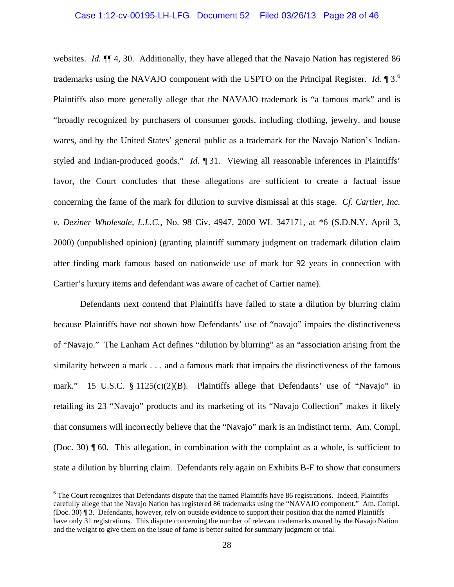# Case 1:12-cv-00195-LH-LFG Document 52 Filed 03/26/13 Page 28 of 46

websites. *Id.* ¶¶ 4, 30. Additionally, they have alleged that the Navajo Nation has registered 86 trademarks using the NAVAJO component with the USPTO on the Principal Register. *Id.* ¶ 3.<sup>6</sup> Plaintiffs also more generally allege that the NAVAJO trademark is "a famous mark" and is "broadly recognized by purchasers of consumer goods, including clothing, jewelry, and house wares, and by the United States' general public as a trademark for the Navajo Nation's Indianstyled and Indian-produced goods." *Id.* ¶ 31. Viewing all reasonable inferences in Plaintiffs' favor, the Court concludes that these allegations are sufficient to create a factual issue concerning the fame of the mark for dilution to survive dismissal at this stage. *Cf. Cartier, Inc. v. Deziner Wholesale, L.L.C.*, No. 98 Civ. 4947, 2000 WL 347171, at \*6 (S.D.N.Y. April 3, 2000) (unpublished opinion) (granting plaintiff summary judgment on trademark dilution claim after finding mark famous based on nationwide use of mark for 92 years in connection with Cartier's luxury items and defendant was aware of cachet of Cartier name).

 Defendants next contend that Plaintiffs have failed to state a dilution by blurring claim because Plaintiffs have not shown how Defendants' use of "navajo" impairs the distinctiveness of "Navajo." The Lanham Act defines "dilution by blurring" as an "association arising from the similarity between a mark . . . and a famous mark that impairs the distinctiveness of the famous mark." 15 U.S.C. § 1125(c)(2)(B). Plaintiffs allege that Defendants' use of "Navajo" in retailing its 23 "Navajo" products and its marketing of its "Navajo Collection" makes it likely that consumers will incorrectly believe that the "Navajo" mark is an indistinct term. Am. Compl. (Doc. 30) ¶ 60. This allegation, in combination with the complaint as a whole, is sufficient to state a dilution by blurring claim. Defendants rely again on Exhibits B-F to show that consumers

1

<sup>&</sup>lt;sup>6</sup> The Court recognizes that Defendants dispute that the named Plaintiffs have 86 registrations. Indeed, Plaintiffs carefully allege that the Navajo Nation has registered 86 trademarks using the "NAVAJO component." Am. Compl. (Doc. 30) ¶ 3. Defendants, however, rely on outside evidence to support their position that the named Plaintiffs have only 31 registrations. This dispute concerning the number of relevant trademarks owned by the Navajo Nation and the weight to give them on the issue of fame is better suited for summary judgment or trial.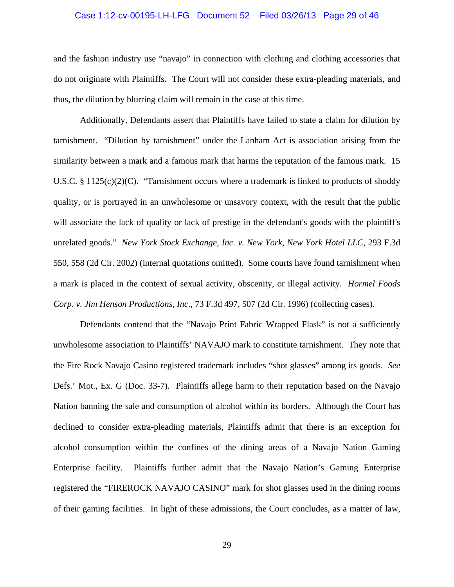#### Case 1:12-cv-00195-LH-LFG Document 52 Filed 03/26/13 Page 29 of 46

and the fashion industry use "navajo" in connection with clothing and clothing accessories that do not originate with Plaintiffs. The Court will not consider these extra-pleading materials, and thus, the dilution by blurring claim will remain in the case at this time.

 Additionally, Defendants assert that Plaintiffs have failed to state a claim for dilution by tarnishment. "Dilution by tarnishment" under the Lanham Act is association arising from the similarity between a mark and a famous mark that harms the reputation of the famous mark. 15 U.S.C. § 1125(c)(2)(C). "Tarnishment occurs where a trademark is linked to products of shoddy quality, or is portrayed in an unwholesome or unsavory context, with the result that the public will associate the lack of quality or lack of prestige in the defendant's goods with the plaintiff's unrelated goods." *New York Stock Exchange, Inc. v. New York, New York Hotel LLC*, 293 F.3d 550, 558 (2d Cir. 2002) (internal quotations omitted). Some courts have found tarnishment when a mark is placed in the context of sexual activity, obscenity, or illegal activity. *Hormel Foods Corp. v. Jim Henson Productions, Inc*., 73 F.3d 497, 507 (2d Cir. 1996) (collecting cases).

 Defendants contend that the "Navajo Print Fabric Wrapped Flask" is not a sufficiently unwholesome association to Plaintiffs' NAVAJO mark to constitute tarnishment. They note that the Fire Rock Navajo Casino registered trademark includes "shot glasses" among its goods. *See* Defs.' Mot., Ex. G (Doc. 33-7). Plaintiffs allege harm to their reputation based on the Navajo Nation banning the sale and consumption of alcohol within its borders. Although the Court has declined to consider extra-pleading materials, Plaintiffs admit that there is an exception for alcohol consumption within the confines of the dining areas of a Navajo Nation Gaming Enterprise facility. Plaintiffs further admit that the Navajo Nation's Gaming Enterprise registered the "FIREROCK NAVAJO CASINO" mark for shot glasses used in the dining rooms of their gaming facilities. In light of these admissions, the Court concludes, as a matter of law,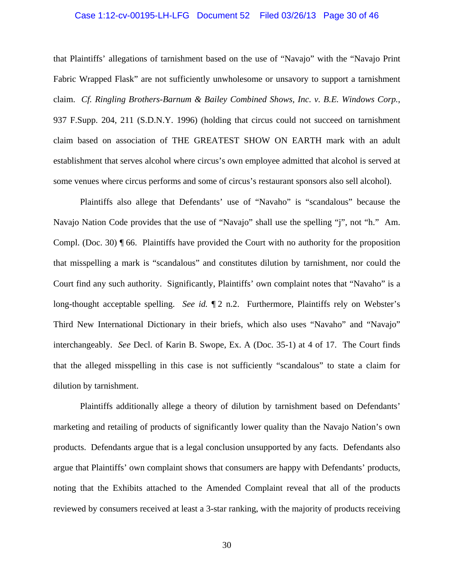#### Case 1:12-cv-00195-LH-LFG Document 52 Filed 03/26/13 Page 30 of 46

that Plaintiffs' allegations of tarnishment based on the use of "Navajo" with the "Navajo Print Fabric Wrapped Flask" are not sufficiently unwholesome or unsavory to support a tarnishment claim. *Cf. Ringling Brothers-Barnum & Bailey Combined Shows, Inc. v. B.E. Windows Corp.*, 937 F.Supp. 204, 211 (S.D.N.Y. 1996) (holding that circus could not succeed on tarnishment claim based on association of THE GREATEST SHOW ON EARTH mark with an adult establishment that serves alcohol where circus's own employee admitted that alcohol is served at some venues where circus performs and some of circus's restaurant sponsors also sell alcohol).

 Plaintiffs also allege that Defendants' use of "Navaho" is "scandalous" because the Navajo Nation Code provides that the use of "Navajo" shall use the spelling "j", not "h." Am. Compl. (Doc. 30) ¶ 66. Plaintiffs have provided the Court with no authority for the proposition that misspelling a mark is "scandalous" and constitutes dilution by tarnishment, nor could the Court find any such authority. Significantly, Plaintiffs' own complaint notes that "Navaho" is a long-thought acceptable spelling. *See id.*  $\P$ 2 n.2. Furthermore, Plaintiffs rely on Webster's Third New International Dictionary in their briefs, which also uses "Navaho" and "Navajo" interchangeably. *See* Decl. of Karin B. Swope, Ex. A (Doc. 35-1) at 4 of 17. The Court finds that the alleged misspelling in this case is not sufficiently "scandalous" to state a claim for dilution by tarnishment.

 Plaintiffs additionally allege a theory of dilution by tarnishment based on Defendants' marketing and retailing of products of significantly lower quality than the Navajo Nation's own products. Defendants argue that is a legal conclusion unsupported by any facts. Defendants also argue that Plaintiffs' own complaint shows that consumers are happy with Defendants' products, noting that the Exhibits attached to the Amended Complaint reveal that all of the products reviewed by consumers received at least a 3-star ranking, with the majority of products receiving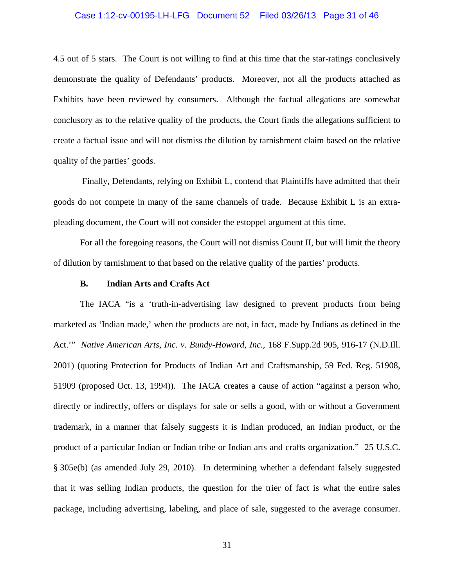#### Case 1:12-cv-00195-LH-LFG Document 52 Filed 03/26/13 Page 31 of 46

4.5 out of 5 stars. The Court is not willing to find at this time that the star-ratings conclusively demonstrate the quality of Defendants' products. Moreover, not all the products attached as Exhibits have been reviewed by consumers. Although the factual allegations are somewhat conclusory as to the relative quality of the products, the Court finds the allegations sufficient to create a factual issue and will not dismiss the dilution by tarnishment claim based on the relative quality of the parties' goods.

 Finally, Defendants, relying on Exhibit L, contend that Plaintiffs have admitted that their goods do not compete in many of the same channels of trade. Because Exhibit L is an extrapleading document, the Court will not consider the estoppel argument at this time.

 For all the foregoing reasons, the Court will not dismiss Count II, but will limit the theory of dilution by tarnishment to that based on the relative quality of the parties' products.

## **B. Indian Arts and Crafts Act**

 The IACA "is a 'truth-in-advertising law designed to prevent products from being marketed as 'Indian made,' when the products are not, in fact, made by Indians as defined in the Act.'" *Native American Arts, Inc. v. Bundy-Howard, Inc.*, 168 F.Supp.2d 905, 916-17 (N.D.Ill. 2001) (quoting Protection for Products of Indian Art and Craftsmanship, 59 Fed. Reg. 51908, 51909 (proposed Oct. 13, 1994)). The IACA creates a cause of action "against a person who, directly or indirectly, offers or displays for sale or sells a good, with or without a Government trademark, in a manner that falsely suggests it is Indian produced, an Indian product, or the product of a particular Indian or Indian tribe or Indian arts and crafts organization." 25 U.S.C. § 305e(b) (as amended July 29, 2010). In determining whether a defendant falsely suggested that it was selling Indian products, the question for the trier of fact is what the entire sales package, including advertising, labeling, and place of sale, suggested to the average consumer.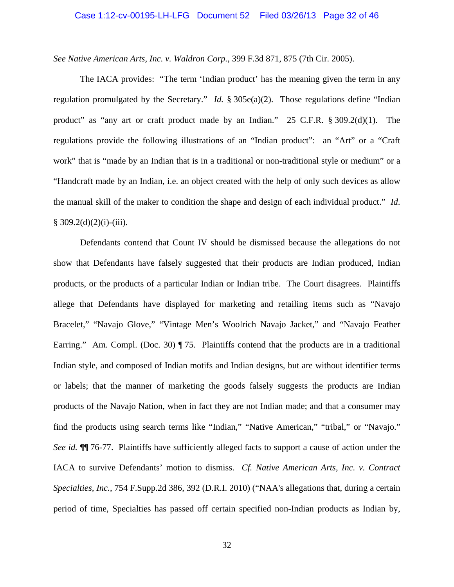#### Case 1:12-cv-00195-LH-LFG Document 52 Filed 03/26/13 Page 32 of 46

*See Native American Arts, Inc. v. Waldron Corp.*, 399 F.3d 871, 875 (7th Cir. 2005).

 The IACA provides: "The term 'Indian product' has the meaning given the term in any regulation promulgated by the Secretary." *Id.* § 305e(a)(2). Those regulations define "Indian product" as "any art or craft product made by an Indian." 25 C.F.R. § 309.2(d)(1). The regulations provide the following illustrations of an "Indian product": an "Art" or a "Craft work" that is "made by an Indian that is in a traditional or non-traditional style or medium" or a "Handcraft made by an Indian, i.e. an object created with the help of only such devices as allow the manual skill of the maker to condition the shape and design of each individual product." *Id*.  $§ 309.2(d)(2)(i)-(iii).$ 

 Defendants contend that Count IV should be dismissed because the allegations do not show that Defendants have falsely suggested that their products are Indian produced, Indian products, or the products of a particular Indian or Indian tribe. The Court disagrees. Plaintiffs allege that Defendants have displayed for marketing and retailing items such as "Navajo Bracelet," "Navajo Glove," "Vintage Men's Woolrich Navajo Jacket," and "Navajo Feather Earring." Am. Compl. (Doc. 30) ¶ 75. Plaintiffs contend that the products are in a traditional Indian style, and composed of Indian motifs and Indian designs, but are without identifier terms or labels; that the manner of marketing the goods falsely suggests the products are Indian products of the Navajo Nation, when in fact they are not Indian made; and that a consumer may find the products using search terms like "Indian," "Native American," "tribal," or "Navajo." *See id.* ¶¶ 76-77. Plaintiffs have sufficiently alleged facts to support a cause of action under the IACA to survive Defendants' motion to dismiss. *Cf. Native American Arts, Inc. v. Contract Specialties, Inc.*, 754 F.Supp.2d 386, 392 (D.R.I. 2010) ("NAA's allegations that, during a certain period of time, Specialties has passed off certain specified non-Indian products as Indian by,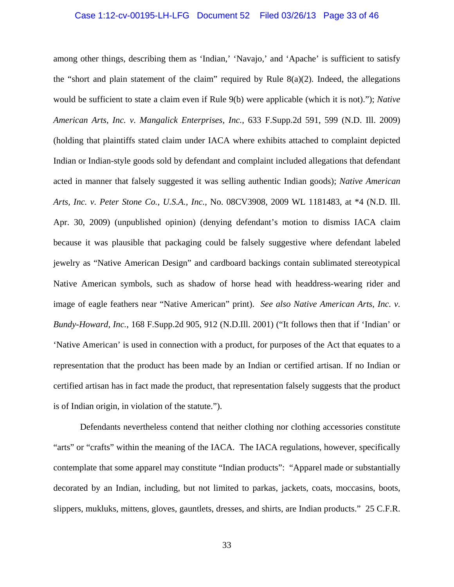#### Case 1:12-cv-00195-LH-LFG Document 52 Filed 03/26/13 Page 33 of 46

among other things, describing them as 'Indian,' 'Navajo,' and 'Apache' is sufficient to satisfy the "short and plain statement of the claim" required by Rule  $8(a)(2)$ . Indeed, the allegations would be sufficient to state a claim even if Rule 9(b) were applicable (which it is not)."); *Native American Arts, Inc. v. Mangalick Enterprises, Inc.*, 633 F.Supp.2d 591, 599 (N.D. Ill. 2009) (holding that plaintiffs stated claim under IACA where exhibits attached to complaint depicted Indian or Indian-style goods sold by defendant and complaint included allegations that defendant acted in manner that falsely suggested it was selling authentic Indian goods); *Native American Arts, Inc. v. Peter Stone Co., U.S.A., Inc.*, No. 08CV3908, 2009 WL 1181483, at \*4 (N.D. Ill. Apr. 30, 2009) (unpublished opinion) (denying defendant's motion to dismiss IACA claim because it was plausible that packaging could be falsely suggestive where defendant labeled jewelry as "Native American Design" and cardboard backings contain sublimated stereotypical Native American symbols, such as shadow of horse head with headdress-wearing rider and image of eagle feathers near "Native American" print). *See also Native American Arts, Inc. v. Bundy-Howard, Inc.*, 168 F.Supp.2d 905, 912 (N.D.Ill. 2001) ("It follows then that if 'Indian' or 'Native American' is used in connection with a product, for purposes of the Act that equates to a representation that the product has been made by an Indian or certified artisan. If no Indian or certified artisan has in fact made the product, that representation falsely suggests that the product is of Indian origin, in violation of the statute.").

 Defendants nevertheless contend that neither clothing nor clothing accessories constitute "arts" or "crafts" within the meaning of the IACA. The IACA regulations, however, specifically contemplate that some apparel may constitute "Indian products": "Apparel made or substantially decorated by an Indian, including, but not limited to parkas, jackets, coats, moccasins, boots, slippers, mukluks, mittens, gloves, gauntlets, dresses, and shirts, are Indian products." 25 C.F.R.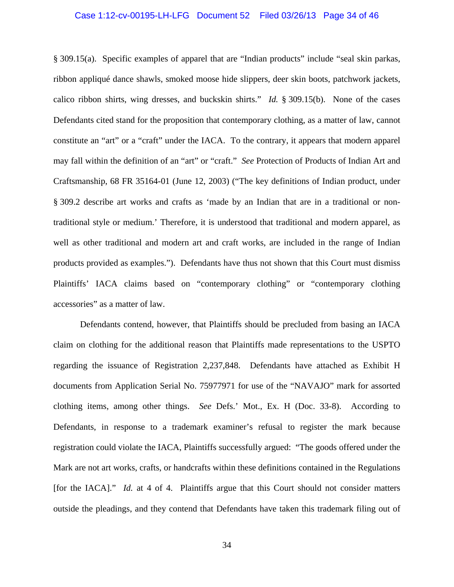#### Case 1:12-cv-00195-LH-LFG Document 52 Filed 03/26/13 Page 34 of 46

§ 309.15(a). Specific examples of apparel that are "Indian products" include "seal skin parkas, ribbon appliqué dance shawls, smoked moose hide slippers, deer skin boots, patchwork jackets, calico ribbon shirts, wing dresses, and buckskin shirts." *Id.* § 309.15(b). None of the cases Defendants cited stand for the proposition that contemporary clothing, as a matter of law, cannot constitute an "art" or a "craft" under the IACA. To the contrary, it appears that modern apparel may fall within the definition of an "art" or "craft." *See* Protection of Products of Indian Art and Craftsmanship, 68 FR 35164-01 (June 12, 2003) ("The key definitions of Indian product, under § 309.2 describe art works and crafts as 'made by an Indian that are in a traditional or nontraditional style or medium.' Therefore, it is understood that traditional and modern apparel, as well as other traditional and modern art and craft works, are included in the range of Indian products provided as examples."). Defendants have thus not shown that this Court must dismiss Plaintiffs' IACA claims based on "contemporary clothing" or "contemporary clothing accessories" as a matter of law.

 Defendants contend, however, that Plaintiffs should be precluded from basing an IACA claim on clothing for the additional reason that Plaintiffs made representations to the USPTO regarding the issuance of Registration 2,237,848. Defendants have attached as Exhibit H documents from Application Serial No. 75977971 for use of the "NAVAJO" mark for assorted clothing items, among other things. *See* Defs.' Mot., Ex. H (Doc. 33-8). According to Defendants, in response to a trademark examiner's refusal to register the mark because registration could violate the IACA, Plaintiffs successfully argued: "The goods offered under the Mark are not art works, crafts, or handcrafts within these definitions contained in the Regulations [for the IACA]." *Id.* at 4 of 4. Plaintiffs argue that this Court should not consider matters outside the pleadings, and they contend that Defendants have taken this trademark filing out of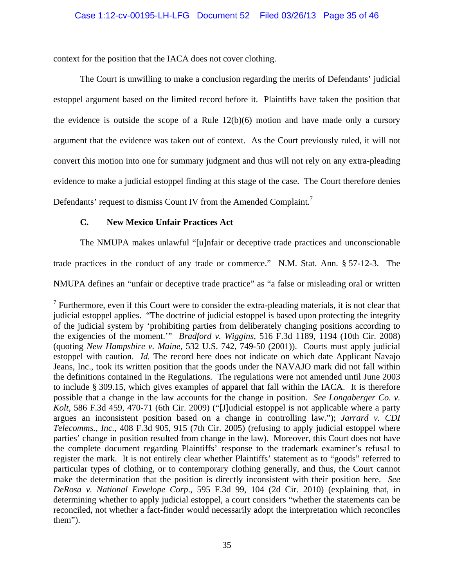context for the position that the IACA does not cover clothing.

 The Court is unwilling to make a conclusion regarding the merits of Defendants' judicial estoppel argument based on the limited record before it. Plaintiffs have taken the position that the evidence is outside the scope of a Rule  $12(b)(6)$  motion and have made only a cursory argument that the evidence was taken out of context. As the Court previously ruled, it will not convert this motion into one for summary judgment and thus will not rely on any extra-pleading evidence to make a judicial estoppel finding at this stage of the case. The Court therefore denies Defendants' request to dismiss Count IV from the Amended Complaint.<sup>7</sup>

# **C. New Mexico Unfair Practices Act**

 $\overline{a}$ 

The NMUPA makes unlawful "[u]nfair or deceptive trade practices and unconscionable

trade practices in the conduct of any trade or commerce." N.M. Stat. Ann. § 57-12-3. The

NMUPA defines an "unfair or deceptive trade practice" as "a false or misleading oral or written

 $<sup>7</sup>$  Furthermore, even if this Court were to consider the extra-pleading materials, it is not clear that</sup> judicial estoppel applies. "The doctrine of judicial estoppel is based upon protecting the integrity of the judicial system by 'prohibiting parties from deliberately changing positions according to the exigencies of the moment.'" *Bradford v. Wiggins*, 516 F.3d 1189, 1194 (10th Cir. 2008) (quoting *New Hampshire v. Maine*, 532 U.S. 742, 749-50 (2001)). Courts must apply judicial estoppel with caution. *Id.* The record here does not indicate on which date Applicant Navajo Jeans, Inc., took its written position that the goods under the NAVAJO mark did not fall within the definitions contained in the Regulations. The regulations were not amended until June 2003 to include § 309.15, which gives examples of apparel that fall within the IACA. It is therefore possible that a change in the law accounts for the change in position. *See Longaberger Co. v. Kolt*, 586 F.3d 459, 470-71 (6th Cir. 2009) ("[J]udicial estoppel is not applicable where a party argues an inconsistent position based on a change in controlling law."); *Jarrard v. CDI Telecomms., Inc.*, 408 F.3d 905, 915 (7th Cir. 2005) (refusing to apply judicial estoppel where parties' change in position resulted from change in the law). Moreover, this Court does not have the complete document regarding Plaintiffs' response to the trademark examiner's refusal to register the mark. It is not entirely clear whether Plaintiffs' statement as to "goods" referred to particular types of clothing, or to contemporary clothing generally, and thus, the Court cannot make the determination that the position is directly inconsistent with their position here. *See DeRosa v. National Envelope Corp*., 595 F.3d 99, 104 (2d Cir. 2010) (explaining that, in determining whether to apply judicial estoppel, a court considers "whether the statements can be reconciled, not whether a fact-finder would necessarily adopt the interpretation which reconciles them").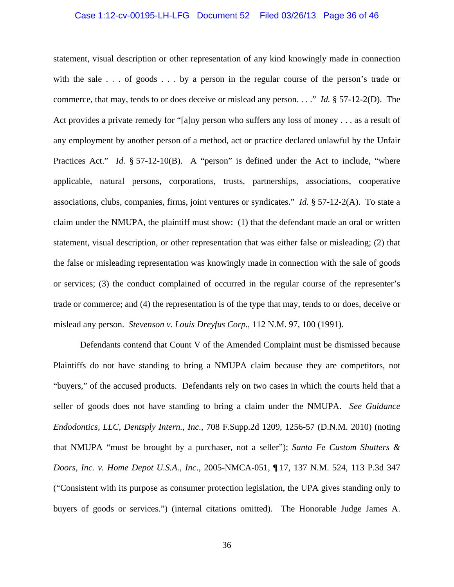#### Case 1:12-cv-00195-LH-LFG Document 52 Filed 03/26/13 Page 36 of 46

statement, visual description or other representation of any kind knowingly made in connection with the sale . . . of goods . . . by a person in the regular course of the person's trade or commerce, that may, tends to or does deceive or mislead any person. . . ." *Id.* § 57-12-2(D). The Act provides a private remedy for "[a]ny person who suffers any loss of money . . . as a result of any employment by another person of a method, act or practice declared unlawful by the Unfair Practices Act." *Id.* § 57-12-10(B). A "person" is defined under the Act to include, "where applicable, natural persons, corporations, trusts, partnerships, associations, cooperative associations, clubs, companies, firms, joint ventures or syndicates." *Id.* § 57-12-2(A). To state a claim under the NMUPA, the plaintiff must show: (1) that the defendant made an oral or written statement, visual description, or other representation that was either false or misleading; (2) that the false or misleading representation was knowingly made in connection with the sale of goods or services; (3) the conduct complained of occurred in the regular course of the representer's trade or commerce; and (4) the representation is of the type that may, tends to or does, deceive or mislead any person. *Stevenson v. Louis Dreyfus Corp.*, 112 N.M. 97, 100 (1991).

 Defendants contend that Count V of the Amended Complaint must be dismissed because Plaintiffs do not have standing to bring a NMUPA claim because they are competitors, not "buyers," of the accused products. Defendants rely on two cases in which the courts held that a seller of goods does not have standing to bring a claim under the NMUPA. *See Guidance Endodontics, LLC, Dentsply Intern., Inc.*, 708 F.Supp.2d 1209, 1256-57 (D.N.M. 2010) (noting that NMUPA "must be brought by a purchaser, not a seller"); *Santa Fe Custom Shutters & Doors, Inc. v. Home Depot U.S.A., Inc*., 2005-NMCA-051, ¶ 17, 137 N.M. 524, 113 P.3d 347 ("Consistent with its purpose as consumer protection legislation, the UPA gives standing only to buyers of goods or services.") (internal citations omitted). The Honorable Judge James A.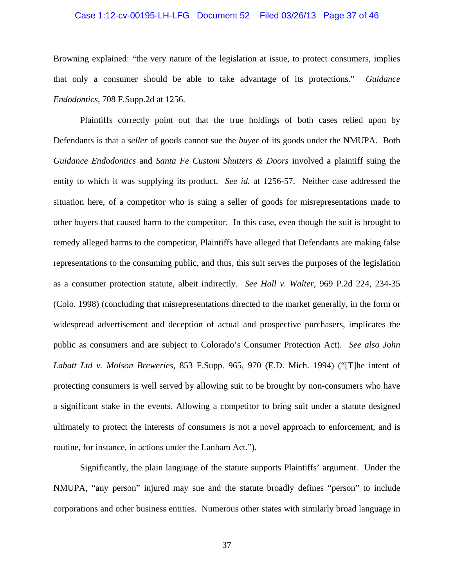#### Case 1:12-cv-00195-LH-LFG Document 52 Filed 03/26/13 Page 37 of 46

Browning explained: "the very nature of the legislation at issue, to protect consumers, implies that only a consumer should be able to take advantage of its protections." *Guidance Endodontics*, 708 F.Supp.2d at 1256.

 Plaintiffs correctly point out that the true holdings of both cases relied upon by Defendants is that a *seller* of goods cannot sue the *buyer* of its goods under the NMUPA. Both *Guidance Endodontics* and *Santa Fe Custom Shutters & Doors* involved a plaintiff suing the entity to which it was supplying its product. *See id.* at 1256-57. Neither case addressed the situation here, of a competitor who is suing a seller of goods for misrepresentations made to other buyers that caused harm to the competitor. In this case, even though the suit is brought to remedy alleged harms to the competitor, Plaintiffs have alleged that Defendants are making false representations to the consuming public, and thus, this suit serves the purposes of the legislation as a consumer protection statute, albeit indirectly. *See Hall v. Walter*, 969 P.2d 224, 234-35 (Colo. 1998) (concluding that misrepresentations directed to the market generally, in the form or widespread advertisement and deception of actual and prospective purchasers, implicates the public as consumers and are subject to Colorado's Consumer Protection Act). *See also John Labatt Ltd v. Molson Breweries*, 853 F.Supp. 965, 970 (E.D. Mich. 1994) ("[T]he intent of protecting consumers is well served by allowing suit to be brought by non-consumers who have a significant stake in the events. Allowing a competitor to bring suit under a statute designed ultimately to protect the interests of consumers is not a novel approach to enforcement, and is routine, for instance, in actions under the Lanham Act.").

 Significantly, the plain language of the statute supports Plaintiffs' argument. Under the NMUPA, "any person" injured may sue and the statute broadly defines "person" to include corporations and other business entities. Numerous other states with similarly broad language in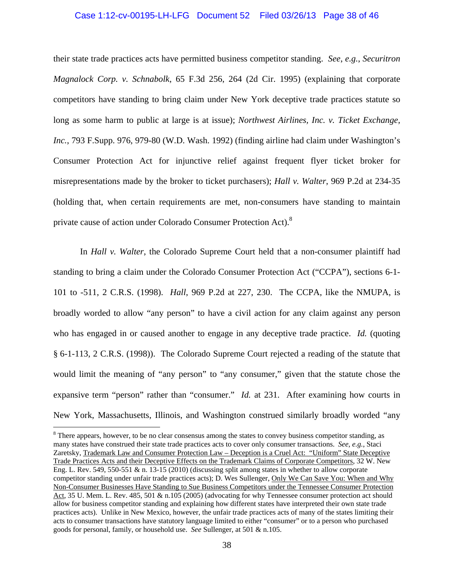#### Case 1:12-cv-00195-LH-LFG Document 52 Filed 03/26/13 Page 38 of 46

their state trade practices acts have permitted business competitor standing. *See*, *e.g.*, *Securitron Magnalock Corp. v. Schnabolk*, 65 F.3d 256, 264 (2d Cir. 1995) (explaining that corporate competitors have standing to bring claim under New York deceptive trade practices statute so long as some harm to public at large is at issue); *Northwest Airlines, Inc. v. Ticket Exchange, Inc.*, 793 F.Supp. 976, 979-80 (W.D. Wash. 1992) (finding airline had claim under Washington's Consumer Protection Act for injunctive relief against frequent flyer ticket broker for misrepresentations made by the broker to ticket purchasers); *Hall v. Walter*, 969 P.2d at 234-35 (holding that, when certain requirements are met, non-consumers have standing to maintain private cause of action under Colorado Consumer Protection Act).<sup>8</sup>

 In *Hall v. Walter*, the Colorado Supreme Court held that a non-consumer plaintiff had standing to bring a claim under the Colorado Consumer Protection Act ("CCPA"), sections 6-1- 101 to -511, 2 C.R.S. (1998). *Hall*, 969 P.2d at 227, 230. The CCPA, like the NMUPA, is broadly worded to allow "any person" to have a civil action for any claim against any person who has engaged in or caused another to engage in any deceptive trade practice. *Id.* (quoting § 6-1-113, 2 C.R.S. (1998)). The Colorado Supreme Court rejected a reading of the statute that would limit the meaning of "any person" to "any consumer," given that the statute chose the expansive term "person" rather than "consumer." *Id.* at 231. After examining how courts in New York, Massachusetts, Illinois, and Washington construed similarly broadly worded "any

<sup>8</sup> There appears, however, to be no clear consensus among the states to convey business competitor standing, as many states have construed their state trade practices acts to cover only consumer transactions. *See*, *e.g.*, Staci Zaretsky, Trademark Law and Consumer Protection Law – Deception is a Cruel Act: "Uniform" State Deceptive Trade Practices Acts and their Deceptive Effects on the Trademark Claims of Corporate Competitors, 32 W. New Eng. L. Rev. 549, 550-551 & n. 13-15 (2010) (discussing split among states in whether to allow corporate competitor standing under unfair trade practices acts); D. Wes Sullenger, Only We Can Save You: When and Why Non-Consumer Businesses Have Standing to Sue Business Competitors under the Tennessee Consumer Protection Act, 35 U. Mem. L. Rev. 485, 501 & n.105 (2005) (advocating for why Tennessee consumer protection act should allow for business competitor standing and explaining how different states have interpreted their own state trade practices acts). Unlike in New Mexico, however, the unfair trade practices acts of many of the states limiting their acts to consumer transactions have statutory language limited to either "consumer" or to a person who purchased goods for personal, family, or household use. *See* Sullenger, at 501 & n.105.

 $\overline{a}$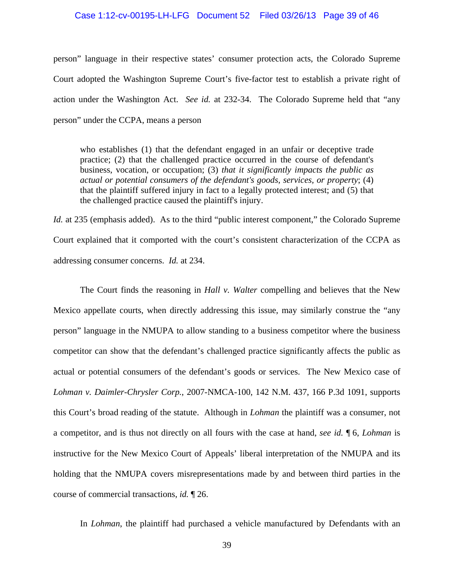#### Case 1:12-cv-00195-LH-LFG Document 52 Filed 03/26/13 Page 39 of 46

person" language in their respective states' consumer protection acts, the Colorado Supreme Court adopted the Washington Supreme Court's five-factor test to establish a private right of action under the Washington Act. *See id.* at 232-34. The Colorado Supreme held that "any person" under the CCPA, means a person

who establishes (1) that the defendant engaged in an unfair or deceptive trade practice; (2) that the challenged practice occurred in the course of defendant's business, vocation, or occupation; (3) *that it significantly impacts the public as actual or potential consumers of the defendant's goods, services, or property*; (4) that the plaintiff suffered injury in fact to a legally protected interest; and (5) that the challenged practice caused the plaintiff's injury.

*Id.* at 235 (emphasis added). As to the third "public interest component," the Colorado Supreme Court explained that it comported with the court's consistent characterization of the CCPA as addressing consumer concerns. *Id.* at 234.

 The Court finds the reasoning in *Hall v. Walter* compelling and believes that the New Mexico appellate courts, when directly addressing this issue, may similarly construe the "any person" language in the NMUPA to allow standing to a business competitor where the business competitor can show that the defendant's challenged practice significantly affects the public as actual or potential consumers of the defendant's goods or services. The New Mexico case of *Lohman v. Daimler-Chrysler Corp.*, 2007-NMCA-100, 142 N.M. 437, 166 P.3d 1091, supports this Court's broad reading of the statute. Although in *Lohman* the plaintiff was a consumer, not a competitor, and is thus not directly on all fours with the case at hand, *see id.* ¶ 6, *Lohman* is instructive for the New Mexico Court of Appeals' liberal interpretation of the NMUPA and its holding that the NMUPA covers misrepresentations made by and between third parties in the course of commercial transactions, *id.* ¶ 26.

In *Lohman*, the plaintiff had purchased a vehicle manufactured by Defendants with an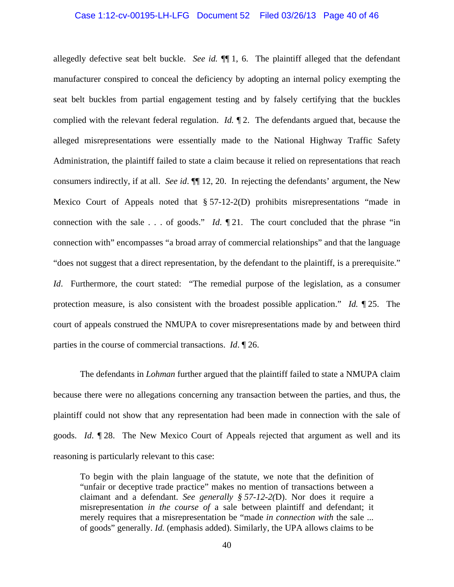#### Case 1:12-cv-00195-LH-LFG Document 52 Filed 03/26/13 Page 40 of 46

allegedly defective seat belt buckle. *See id.* ¶¶ 1, 6. The plaintiff alleged that the defendant manufacturer conspired to conceal the deficiency by adopting an internal policy exempting the seat belt buckles from partial engagement testing and by falsely certifying that the buckles complied with the relevant federal regulation. *Id.* ¶ 2. The defendants argued that, because the alleged misrepresentations were essentially made to the National Highway Traffic Safety Administration, the plaintiff failed to state a claim because it relied on representations that reach consumers indirectly, if at all. *See id*. ¶¶ 12, 20. In rejecting the defendants' argument, the New Mexico Court of Appeals noted that § 57-12-2(D) prohibits misrepresentations "made in connection with the sale . . . of goods." *Id*. ¶ 21. The court concluded that the phrase "in connection with" encompasses "a broad array of commercial relationships" and that the language "does not suggest that a direct representation, by the defendant to the plaintiff, is a prerequisite." *Id.* Furthermore, the court stated: "The remedial purpose of the legislation, as a consumer protection measure, is also consistent with the broadest possible application." *Id.* ¶ 25. The court of appeals construed the NMUPA to cover misrepresentations made by and between third parties in the course of commercial transactions. *Id*. ¶ 26.

 The defendants in *Lohman* further argued that the plaintiff failed to state a NMUPA claim because there were no allegations concerning any transaction between the parties, and thus, the plaintiff could not show that any representation had been made in connection with the sale of goods. *Id*. ¶ 28. The New Mexico Court of Appeals rejected that argument as well and its reasoning is particularly relevant to this case:

To begin with the plain language of the statute, we note that the definition of "unfair or deceptive trade practice" makes no mention of transactions between a claimant and a defendant. *See generally § 57-12-2(*D). Nor does it require a misrepresentation *in the course of* a sale between plaintiff and defendant; it merely requires that a misrepresentation be "made *in connection with* the sale ... of goods" generally. *Id.* (emphasis added). Similarly, the UPA allows claims to be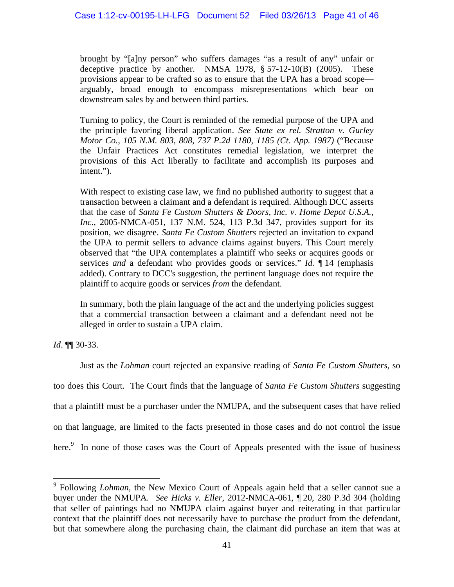brought by "[a]ny person" who suffers damages "as a result of any" unfair or deceptive practice by another. NMSA 1978,  $\S 57-12-10(B)$  (2005). These provisions appear to be crafted so as to ensure that the UPA has a broad scope arguably, broad enough to encompass misrepresentations which bear on downstream sales by and between third parties.

Turning to policy, the Court is reminded of the remedial purpose of the UPA and the principle favoring liberal application. *See State ex rel. Stratton v. Gurley Motor Co., 105 N.M. 803, 808, 737 P.2d 1180, 1185 (Ct. App. 1987)* ("Because the Unfair Practices Act constitutes remedial legislation, we interpret the provisions of this Act liberally to facilitate and accomplish its purposes and intent.").

With respect to existing case law, we find no published authority to suggest that a transaction between a claimant and a defendant is required. Although DCC asserts that the case of *Santa Fe Custom Shutters & Doors, Inc. v. Home Depot U.S.A., Inc*., 2005-NMCA-051, 137 N.M. 524, 113 P.3d 347, provides support for its position, we disagree. *Santa Fe Custom Shutters* rejected an invitation to expand the UPA to permit sellers to advance claims against buyers. This Court merely observed that "the UPA contemplates a plaintiff who seeks or acquires goods or services *and* a defendant who provides goods or services." *Id.* ¶ 14 (emphasis added). Contrary to DCC's suggestion, the pertinent language does not require the plaintiff to acquire goods or services *from* the defendant.

In summary, both the plain language of the act and the underlying policies suggest that a commercial transaction between a claimant and a defendant need not be alleged in order to sustain a UPA claim.

*Id*. ¶¶ 30-33.

1

 Just as the *Lohman* court rejected an expansive reading of *Santa Fe Custom Shutters*, so too does this Court. The Court finds that the language of *Santa Fe Custom Shutters* suggesting that a plaintiff must be a purchaser under the NMUPA, and the subsequent cases that have relied on that language, are limited to the facts presented in those cases and do not control the issue here.<sup>9</sup> In none of those cases was the Court of Appeals presented with the issue of business

<sup>&</sup>lt;sup>9</sup> Following *Lohman*, the New Mexico Court of Appeals again held that a seller cannot sue a buyer under the NMUPA. *See Hicks v. Eller*, 2012-NMCA-061, ¶ 20, 280 P.3d 304 (holding that seller of paintings had no NMUPA claim against buyer and reiterating in that particular context that the plaintiff does not necessarily have to purchase the product from the defendant, but that somewhere along the purchasing chain, the claimant did purchase an item that was at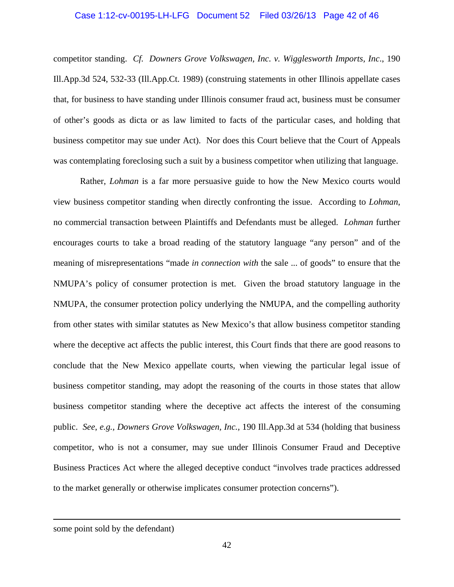### Case 1:12-cv-00195-LH-LFG Document 52 Filed 03/26/13 Page 42 of 46

competitor standing. *Cf. Downers Grove Volkswagen, Inc. v. Wigglesworth Imports, Inc*., 190 Ill.App.3d 524, 532-33 (Ill.App.Ct. 1989) (construing statements in other Illinois appellate cases that, for business to have standing under Illinois consumer fraud act, business must be consumer of other's goods as dicta or as law limited to facts of the particular cases, and holding that business competitor may sue under Act). Nor does this Court believe that the Court of Appeals was contemplating foreclosing such a suit by a business competitor when utilizing that language.

 Rather, *Lohman* is a far more persuasive guide to how the New Mexico courts would view business competitor standing when directly confronting the issue. According to *Lohman*, no commercial transaction between Plaintiffs and Defendants must be alleged. *Lohman* further encourages courts to take a broad reading of the statutory language "any person" and of the meaning of misrepresentations "made *in connection with* the sale ... of goods" to ensure that the NMUPA's policy of consumer protection is met. Given the broad statutory language in the NMUPA, the consumer protection policy underlying the NMUPA, and the compelling authority from other states with similar statutes as New Mexico's that allow business competitor standing where the deceptive act affects the public interest, this Court finds that there are good reasons to conclude that the New Mexico appellate courts, when viewing the particular legal issue of business competitor standing, may adopt the reasoning of the courts in those states that allow business competitor standing where the deceptive act affects the interest of the consuming public. *See*, *e.g., Downers Grove Volkswagen, Inc.,* 190 Ill.App.3d at 534 (holding that business competitor, who is not a consumer, may sue under Illinois Consumer Fraud and Deceptive Business Practices Act where the alleged deceptive conduct "involves trade practices addressed to the market generally or otherwise implicates consumer protection concerns").

<u>.</u>

some point sold by the defendant)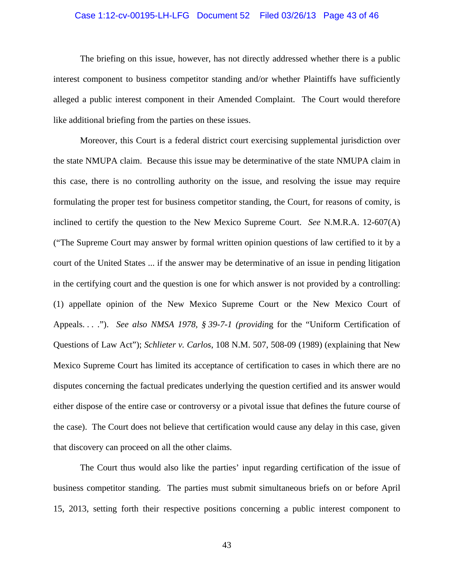#### Case 1:12-cv-00195-LH-LFG Document 52 Filed 03/26/13 Page 43 of 46

 The briefing on this issue, however, has not directly addressed whether there is a public interest component to business competitor standing and/or whether Plaintiffs have sufficiently alleged a public interest component in their Amended Complaint. The Court would therefore like additional briefing from the parties on these issues.

 Moreover, this Court is a federal district court exercising supplemental jurisdiction over the state NMUPA claim. Because this issue may be determinative of the state NMUPA claim in this case, there is no controlling authority on the issue, and resolving the issue may require formulating the proper test for business competitor standing, the Court, for reasons of comity, is inclined to certify the question to the New Mexico Supreme Court. *See* N.M.R.A. 12-607(A) ("The Supreme Court may answer by formal written opinion questions of law certified to it by a court of the United States ... if the answer may be determinative of an issue in pending litigation in the certifying court and the question is one for which answer is not provided by a controlling: (1) appellate opinion of the New Mexico Supreme Court or the New Mexico Court of Appeals. . . ."). *See also NMSA 1978, § 39-7-1 (providin*g for the "Uniform Certification of Questions of Law Act"); *Schlieter v. Carlos*, 108 N.M. 507, 508-09 (1989) (explaining that New Mexico Supreme Court has limited its acceptance of certification to cases in which there are no disputes concerning the factual predicates underlying the question certified and its answer would either dispose of the entire case or controversy or a pivotal issue that defines the future course of the case). The Court does not believe that certification would cause any delay in this case, given that discovery can proceed on all the other claims.

 The Court thus would also like the parties' input regarding certification of the issue of business competitor standing. The parties must submit simultaneous briefs on or before April 15, 2013, setting forth their respective positions concerning a public interest component to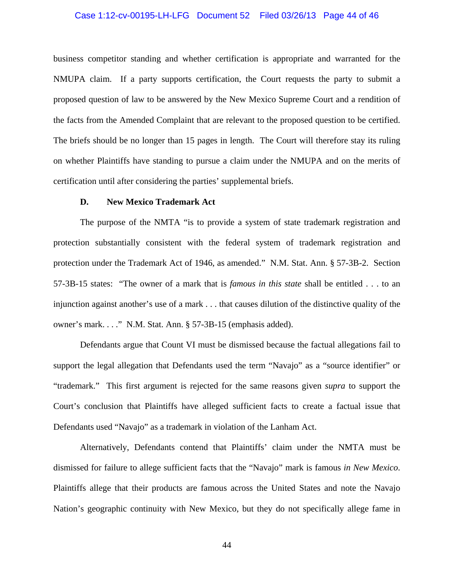#### Case 1:12-cv-00195-LH-LFG Document 52 Filed 03/26/13 Page 44 of 46

business competitor standing and whether certification is appropriate and warranted for the NMUPA claim. If a party supports certification, the Court requests the party to submit a proposed question of law to be answered by the New Mexico Supreme Court and a rendition of the facts from the Amended Complaint that are relevant to the proposed question to be certified. The briefs should be no longer than 15 pages in length. The Court will therefore stay its ruling on whether Plaintiffs have standing to pursue a claim under the NMUPA and on the merits of certification until after considering the parties' supplemental briefs.

#### **D. New Mexico Trademark Act**

 The purpose of the NMTA "is to provide a system of state trademark registration and protection substantially consistent with the federal system of trademark registration and protection under the Trademark Act of 1946, as amended." N.M. Stat. Ann. § 57-3B-2. Section 57-3B-15 states: "The owner of a mark that is *famous in this state* shall be entitled . . . to an injunction against another's use of a mark . . . that causes dilution of the distinctive quality of the owner's mark. . . ." N.M. Stat. Ann. § 57-3B-15 (emphasis added).

 Defendants argue that Count VI must be dismissed because the factual allegations fail to support the legal allegation that Defendants used the term "Navajo" as a "source identifier" or "trademark." This first argument is rejected for the same reasons given *supra* to support the Court's conclusion that Plaintiffs have alleged sufficient facts to create a factual issue that Defendants used "Navajo" as a trademark in violation of the Lanham Act.

 Alternatively, Defendants contend that Plaintiffs' claim under the NMTA must be dismissed for failure to allege sufficient facts that the "Navajo" mark is famous *in New Mexico*. Plaintiffs allege that their products are famous across the United States and note the Navajo Nation's geographic continuity with New Mexico, but they do not specifically allege fame in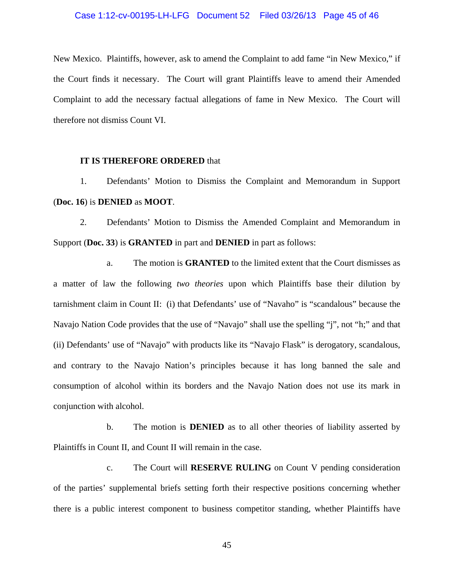#### Case 1:12-cv-00195-LH-LFG Document 52 Filed 03/26/13 Page 45 of 46

New Mexico. Plaintiffs, however, ask to amend the Complaint to add fame "in New Mexico," if the Court finds it necessary. The Court will grant Plaintiffs leave to amend their Amended Complaint to add the necessary factual allegations of fame in New Mexico. The Court will therefore not dismiss Count VI.

#### **IT IS THEREFORE ORDERED** that

 1. Defendants' Motion to Dismiss the Complaint and Memorandum in Support (**Doc. 16**) is **DENIED** as **MOOT**.

 2. Defendants' Motion to Dismiss the Amended Complaint and Memorandum in Support (**Doc. 33**) is **GRANTED** in part and **DENIED** in part as follows:

 a. The motion is **GRANTED** to the limited extent that the Court dismisses as a matter of law the following *two theories* upon which Plaintiffs base their dilution by tarnishment claim in Count II: (i) that Defendants' use of "Navaho" is "scandalous" because the Navajo Nation Code provides that the use of "Navajo" shall use the spelling "j", not "h;" and that (ii) Defendants' use of "Navajo" with products like its "Navajo Flask" is derogatory, scandalous, and contrary to the Navajo Nation's principles because it has long banned the sale and consumption of alcohol within its borders and the Navajo Nation does not use its mark in conjunction with alcohol.

 b. The motion is **DENIED** as to all other theories of liability asserted by Plaintiffs in Count II, and Count II will remain in the case.

 c. The Court will **RESERVE RULING** on Count V pending consideration of the parties' supplemental briefs setting forth their respective positions concerning whether there is a public interest component to business competitor standing, whether Plaintiffs have

45